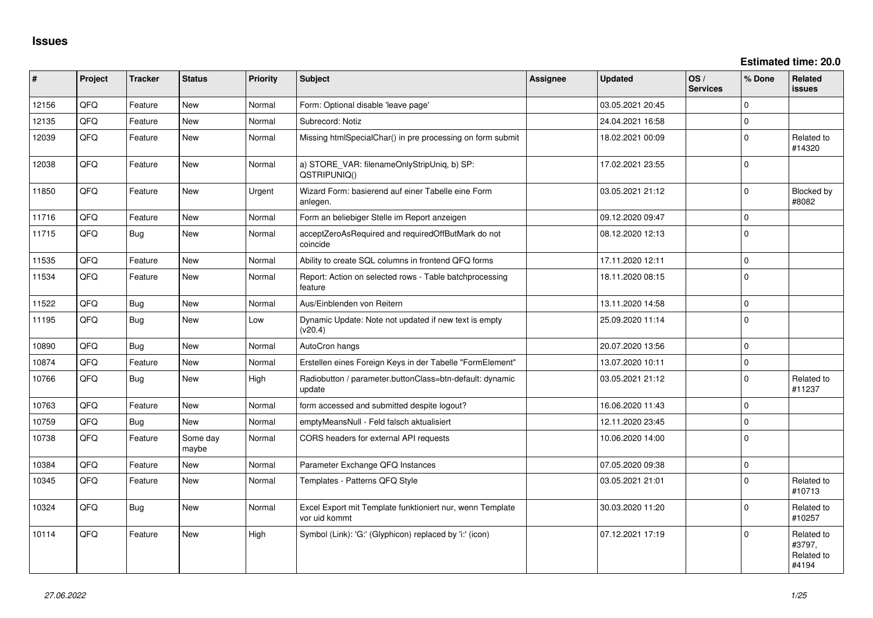**Estimated time: 20.0**

| #     | Project | <b>Tracker</b> | <b>Status</b>     | <b>Priority</b> | <b>Subject</b>                                                             | <b>Assignee</b> | <b>Updated</b>   | OS/<br><b>Services</b> | % Done         | Related<br>issues                           |
|-------|---------|----------------|-------------------|-----------------|----------------------------------------------------------------------------|-----------------|------------------|------------------------|----------------|---------------------------------------------|
| 12156 | QFQ     | Feature        | <b>New</b>        | Normal          | Form: Optional disable 'leave page'                                        |                 | 03.05.2021 20:45 |                        | $\Omega$       |                                             |
| 12135 | QFQ     | Feature        | New               | Normal          | Subrecord: Notiz                                                           |                 | 24.04.2021 16:58 |                        | $\Omega$       |                                             |
| 12039 | QFQ     | Feature        | New               | Normal          | Missing htmlSpecialChar() in pre processing on form submit                 |                 | 18.02.2021 00:09 |                        | $\Omega$       | Related to<br>#14320                        |
| 12038 | QFQ     | Feature        | <b>New</b>        | Normal          | a) STORE_VAR: filenameOnlyStripUniq, b) SP:<br>QSTRIPUNIQ()                |                 | 17.02.2021 23:55 |                        | 0              |                                             |
| 11850 | QFQ     | Feature        | <b>New</b>        | Urgent          | Wizard Form: basierend auf einer Tabelle eine Form<br>anlegen.             |                 | 03.05.2021 21:12 |                        | $\Omega$       | Blocked by<br>#8082                         |
| 11716 | QFQ     | Feature        | <b>New</b>        | Normal          | Form an beliebiger Stelle im Report anzeigen                               |                 | 09.12.2020 09:47 |                        | $\Omega$       |                                             |
| 11715 | QFQ     | Bug            | <b>New</b>        | Normal          | acceptZeroAsRequired and requiredOffButMark do not<br>coincide             |                 | 08.12.2020 12:13 |                        | $\Omega$       |                                             |
| 11535 | QFQ     | Feature        | <b>New</b>        | Normal          | Ability to create SQL columns in frontend QFQ forms                        |                 | 17.11.2020 12:11 |                        | $\mathbf 0$    |                                             |
| 11534 | QFQ     | Feature        | <b>New</b>        | Normal          | Report: Action on selected rows - Table batchprocessing<br>feature         |                 | 18.11.2020 08:15 |                        | $\Omega$       |                                             |
| 11522 | QFQ     | <b>Bug</b>     | <b>New</b>        | Normal          | Aus/Einblenden von Reitern                                                 |                 | 13.11.2020 14:58 |                        | $\mathbf 0$    |                                             |
| 11195 | QFQ     | Bug            | <b>New</b>        | Low             | Dynamic Update: Note not updated if new text is empty<br>(v20.4)           |                 | 25.09.2020 11:14 |                        | $\Omega$       |                                             |
| 10890 | QFQ     | Bug            | New               | Normal          | AutoCron hangs                                                             |                 | 20.07.2020 13:56 |                        | $\mathbf 0$    |                                             |
| 10874 | QFQ     | Feature        | New               | Normal          | Erstellen eines Foreign Keys in der Tabelle "FormElement"                  |                 | 13.07.2020 10:11 |                        | $\overline{0}$ |                                             |
| 10766 | QFQ     | <b>Bug</b>     | <b>New</b>        | High            | Radiobutton / parameter.buttonClass=btn-default: dynamic<br>update         |                 | 03.05.2021 21:12 |                        | $\Omega$       | Related to<br>#11237                        |
| 10763 | QFQ     | Feature        | <b>New</b>        | Normal          | form accessed and submitted despite logout?                                |                 | 16.06.2020 11:43 |                        | $\Omega$       |                                             |
| 10759 | QFQ     | <b>Bug</b>     | <b>New</b>        | Normal          | emptyMeansNull - Feld falsch aktualisiert                                  |                 | 12.11.2020 23:45 |                        | $\Omega$       |                                             |
| 10738 | QFQ     | Feature        | Some day<br>maybe | Normal          | CORS headers for external API requests                                     |                 | 10.06.2020 14:00 |                        | $\Omega$       |                                             |
| 10384 | QFQ     | Feature        | <b>New</b>        | Normal          | Parameter Exchange QFQ Instances                                           |                 | 07.05.2020 09:38 |                        | $\mathbf 0$    |                                             |
| 10345 | QFQ     | Feature        | <b>New</b>        | Normal          | Templates - Patterns QFQ Style                                             |                 | 03.05.2021 21:01 |                        | $\Omega$       | Related to<br>#10713                        |
| 10324 | QFQ     | Bug            | <b>New</b>        | Normal          | Excel Export mit Template funktioniert nur, wenn Template<br>vor uid kommt |                 | 30.03.2020 11:20 |                        | $\Omega$       | Related to<br>#10257                        |
| 10114 | QFQ     | Feature        | <b>New</b>        | High            | Symbol (Link): 'G:' (Glyphicon) replaced by 'i:' (icon)                    |                 | 07.12.2021 17:19 |                        | $\Omega$       | Related to<br>#3797,<br>Related to<br>#4194 |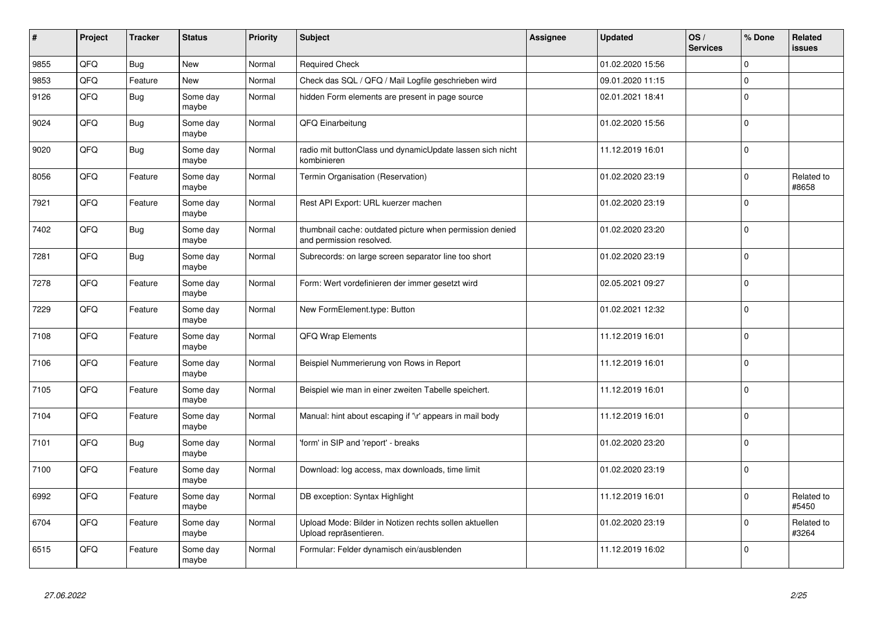| #    | Project | <b>Tracker</b> | <b>Status</b>     | <b>Priority</b> | <b>Subject</b>                                                                       | Assignee | <b>Updated</b>   | OS/<br><b>Services</b> | % Done      | Related<br>issues   |
|------|---------|----------------|-------------------|-----------------|--------------------------------------------------------------------------------------|----------|------------------|------------------------|-------------|---------------------|
| 9855 | QFQ     | <b>Bug</b>     | <b>New</b>        | Normal          | <b>Required Check</b>                                                                |          | 01.02.2020 15:56 |                        | $\Omega$    |                     |
| 9853 | QFQ     | Feature        | <b>New</b>        | Normal          | Check das SQL / QFQ / Mail Logfile geschrieben wird                                  |          | 09.01.2020 11:15 |                        | $\Omega$    |                     |
| 9126 | QFQ     | Bug            | Some day<br>maybe | Normal          | hidden Form elements are present in page source                                      |          | 02.01.2021 18:41 |                        | $\Omega$    |                     |
| 9024 | QFQ     | Bug            | Some day<br>maybe | Normal          | QFQ Einarbeitung                                                                     |          | 01.02.2020 15:56 |                        | $\Omega$    |                     |
| 9020 | QFQ     | <b>Bug</b>     | Some day<br>maybe | Normal          | radio mit buttonClass und dynamicUpdate lassen sich nicht<br>kombinieren             |          | 11.12.2019 16:01 |                        | $\Omega$    |                     |
| 8056 | QFQ     | Feature        | Some day<br>maybe | Normal          | Termin Organisation (Reservation)                                                    |          | 01.02.2020 23:19 |                        | $\mathbf 0$ | Related to<br>#8658 |
| 7921 | QFQ     | Feature        | Some day<br>maybe | Normal          | Rest API Export: URL kuerzer machen                                                  |          | 01.02.2020 23:19 |                        | $\Omega$    |                     |
| 7402 | QFQ     | <b>Bug</b>     | Some day<br>maybe | Normal          | thumbnail cache: outdated picture when permission denied<br>and permission resolved. |          | 01.02.2020 23:20 |                        | $\Omega$    |                     |
| 7281 | QFQ     | <b>Bug</b>     | Some day<br>maybe | Normal          | Subrecords: on large screen separator line too short                                 |          | 01.02.2020 23:19 |                        | $\mathbf 0$ |                     |
| 7278 | QFQ     | Feature        | Some day<br>maybe | Normal          | Form: Wert vordefinieren der immer gesetzt wird                                      |          | 02.05.2021 09:27 |                        | $\Omega$    |                     |
| 7229 | QFQ     | Feature        | Some day<br>maybe | Normal          | New FormElement.type: Button                                                         |          | 01.02.2021 12:32 |                        | $\Omega$    |                     |
| 7108 | QFQ     | Feature        | Some day<br>maybe | Normal          | <b>QFQ Wrap Elements</b>                                                             |          | 11.12.2019 16:01 |                        | $\Omega$    |                     |
| 7106 | QFQ     | Feature        | Some day<br>maybe | Normal          | Beispiel Nummerierung von Rows in Report                                             |          | 11.12.2019 16:01 |                        | $\Omega$    |                     |
| 7105 | QFQ     | Feature        | Some day<br>maybe | Normal          | Beispiel wie man in einer zweiten Tabelle speichert.                                 |          | 11.12.2019 16:01 |                        | $\mathbf 0$ |                     |
| 7104 | QFQ     | Feature        | Some day<br>maybe | Normal          | Manual: hint about escaping if '\r' appears in mail body                             |          | 11.12.2019 16:01 |                        | $\mathbf 0$ |                     |
| 7101 | QFQ     | Bug            | Some day<br>maybe | Normal          | 'form' in SIP and 'report' - breaks                                                  |          | 01.02.2020 23:20 |                        | $\Omega$    |                     |
| 7100 | QFQ     | Feature        | Some day<br>maybe | Normal          | Download: log access, max downloads, time limit                                      |          | 01.02.2020 23:19 |                        | $\Omega$    |                     |
| 6992 | QFQ     | Feature        | Some day<br>maybe | Normal          | DB exception: Syntax Highlight                                                       |          | 11.12.2019 16:01 |                        | $\Omega$    | Related to<br>#5450 |
| 6704 | QFQ     | Feature        | Some day<br>maybe | Normal          | Upload Mode: Bilder in Notizen rechts sollen aktuellen<br>Upload repräsentieren.     |          | 01.02.2020 23:19 |                        | $\Omega$    | Related to<br>#3264 |
| 6515 | QFQ     | Feature        | Some day<br>maybe | Normal          | Formular: Felder dynamisch ein/ausblenden                                            |          | 11.12.2019 16:02 |                        | $\Omega$    |                     |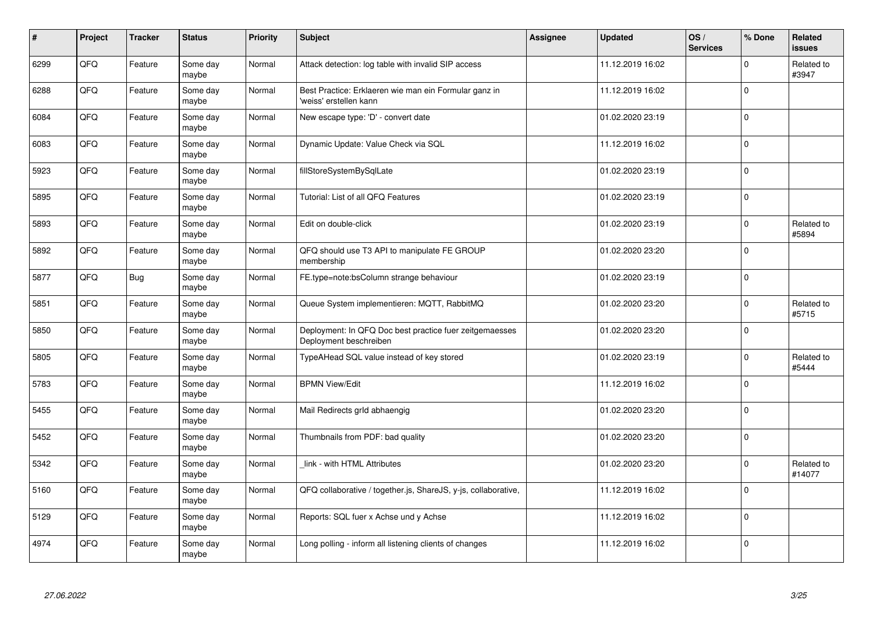| $\vert$ # | Project | <b>Tracker</b> | <b>Status</b>     | <b>Priority</b> | <b>Subject</b>                                                                    | Assignee | <b>Updated</b>   | OS/<br><b>Services</b> | % Done      | Related<br><b>issues</b> |
|-----------|---------|----------------|-------------------|-----------------|-----------------------------------------------------------------------------------|----------|------------------|------------------------|-------------|--------------------------|
| 6299      | QFQ     | Feature        | Some day<br>maybe | Normal          | Attack detection: log table with invalid SIP access                               |          | 11.12.2019 16:02 |                        | $\Omega$    | Related to<br>#3947      |
| 6288      | QFQ     | Feature        | Some day<br>maybe | Normal          | Best Practice: Erklaeren wie man ein Formular ganz in<br>'weiss' erstellen kann   |          | 11.12.2019 16:02 |                        | $\Omega$    |                          |
| 6084      | QFQ     | Feature        | Some day<br>maybe | Normal          | New escape type: 'D' - convert date                                               |          | 01.02.2020 23:19 |                        | $\Omega$    |                          |
| 6083      | QFQ     | Feature        | Some day<br>maybe | Normal          | Dynamic Update: Value Check via SQL                                               |          | 11.12.2019 16:02 |                        | $\Omega$    |                          |
| 5923      | QFQ     | Feature        | Some day<br>maybe | Normal          | fillStoreSystemBySqlLate                                                          |          | 01.02.2020 23:19 |                        | $\Omega$    |                          |
| 5895      | QFQ     | Feature        | Some day<br>maybe | Normal          | Tutorial: List of all QFQ Features                                                |          | 01.02.2020 23:19 |                        | $\Omega$    |                          |
| 5893      | QFQ     | Feature        | Some day<br>maybe | Normal          | Edit on double-click                                                              |          | 01.02.2020 23:19 |                        | $\mathbf 0$ | Related to<br>#5894      |
| 5892      | QFQ     | Feature        | Some day<br>maybe | Normal          | QFQ should use T3 API to manipulate FE GROUP<br>membership                        |          | 01.02.2020 23:20 |                        | $\Omega$    |                          |
| 5877      | QFQ     | <b>Bug</b>     | Some day<br>maybe | Normal          | FE.type=note:bsColumn strange behaviour                                           |          | 01.02.2020 23:19 |                        | $\Omega$    |                          |
| 5851      | QFQ     | Feature        | Some day<br>maybe | Normal          | Queue System implementieren: MQTT, RabbitMQ                                       |          | 01.02.2020 23:20 |                        | $\mathbf 0$ | Related to<br>#5715      |
| 5850      | QFQ     | Feature        | Some day<br>maybe | Normal          | Deployment: In QFQ Doc best practice fuer zeitgemaesses<br>Deployment beschreiben |          | 01.02.2020 23:20 |                        | $\Omega$    |                          |
| 5805      | QFQ     | Feature        | Some day<br>maybe | Normal          | TypeAHead SQL value instead of key stored                                         |          | 01.02.2020 23:19 |                        | $\Omega$    | Related to<br>#5444      |
| 5783      | QFQ     | Feature        | Some day<br>maybe | Normal          | <b>BPMN View/Edit</b>                                                             |          | 11.12.2019 16:02 |                        | $\mathbf 0$ |                          |
| 5455      | QFQ     | Feature        | Some day<br>maybe | Normal          | Mail Redirects grld abhaengig                                                     |          | 01.02.2020 23:20 |                        | $\mathbf 0$ |                          |
| 5452      | QFQ     | Feature        | Some day<br>maybe | Normal          | Thumbnails from PDF: bad quality                                                  |          | 01.02.2020 23:20 |                        | $\Omega$    |                          |
| 5342      | QFQ     | Feature        | Some day<br>maybe | Normal          | link - with HTML Attributes                                                       |          | 01.02.2020 23:20 |                        | $\Omega$    | Related to<br>#14077     |
| 5160      | QFQ     | Feature        | Some day<br>maybe | Normal          | QFQ collaborative / together.js, ShareJS, y-js, collaborative,                    |          | 11.12.2019 16:02 |                        | $\Omega$    |                          |
| 5129      | QFQ     | Feature        | Some day<br>maybe | Normal          | Reports: SQL fuer x Achse und y Achse                                             |          | 11.12.2019 16:02 |                        | $\mathbf 0$ |                          |
| 4974      | QFQ     | Feature        | Some day<br>maybe | Normal          | Long polling - inform all listening clients of changes                            |          | 11.12.2019 16:02 |                        | $\Omega$    |                          |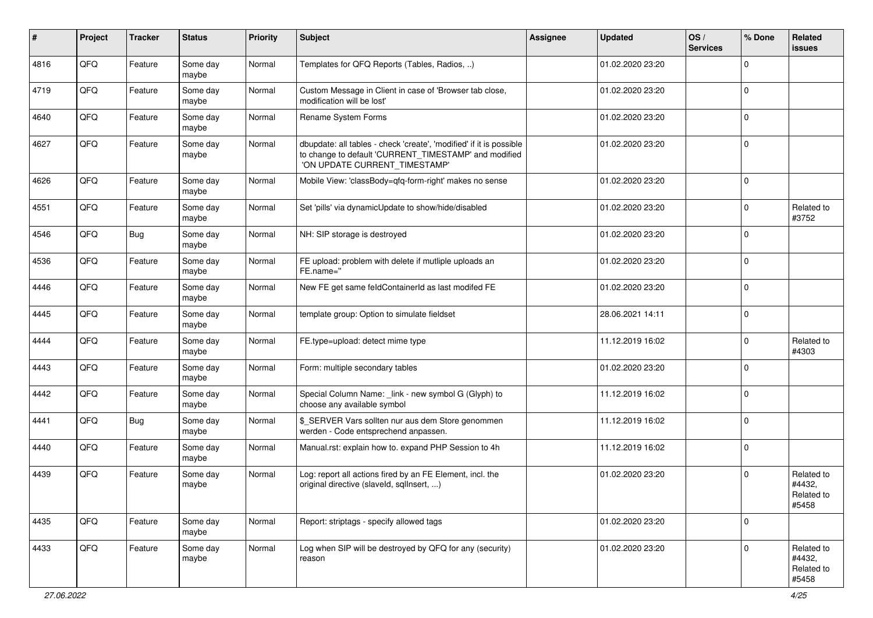| #    | Project | <b>Tracker</b> | <b>Status</b>     | <b>Priority</b> | Subject                                                                                                                                                       | Assignee | <b>Updated</b>   | OS/<br><b>Services</b> | % Done      | Related<br>issues                           |
|------|---------|----------------|-------------------|-----------------|---------------------------------------------------------------------------------------------------------------------------------------------------------------|----------|------------------|------------------------|-------------|---------------------------------------------|
| 4816 | QFQ     | Feature        | Some day<br>maybe | Normal          | Templates for QFQ Reports (Tables, Radios, )                                                                                                                  |          | 01.02.2020 23:20 |                        | $\Omega$    |                                             |
| 4719 | QFQ     | Feature        | Some day<br>maybe | Normal          | Custom Message in Client in case of 'Browser tab close,<br>modification will be lost'                                                                         |          | 01.02.2020 23:20 |                        | $\mathbf 0$ |                                             |
| 4640 | QFQ     | Feature        | Some day<br>maybe | Normal          | Rename System Forms                                                                                                                                           |          | 01.02.2020 23:20 |                        | 0           |                                             |
| 4627 | QFQ     | Feature        | Some day<br>maybe | Normal          | dbupdate: all tables - check 'create', 'modified' if it is possible<br>to change to default 'CURRENT_TIMESTAMP' and modified<br>'ON UPDATE CURRENT_TIMESTAMP' |          | 01.02.2020 23:20 |                        | $\mathbf 0$ |                                             |
| 4626 | QFQ     | Feature        | Some day<br>maybe | Normal          | Mobile View: 'classBody=qfq-form-right' makes no sense                                                                                                        |          | 01.02.2020 23:20 |                        | $\mathbf 0$ |                                             |
| 4551 | QFQ     | Feature        | Some day<br>maybe | Normal          | Set 'pills' via dynamicUpdate to show/hide/disabled                                                                                                           |          | 01.02.2020 23:20 |                        | 0           | Related to<br>#3752                         |
| 4546 | QFQ     | <b>Bug</b>     | Some day<br>maybe | Normal          | NH: SIP storage is destroyed                                                                                                                                  |          | 01.02.2020 23:20 |                        | $\Omega$    |                                             |
| 4536 | QFQ     | Feature        | Some day<br>maybe | Normal          | FE upload: problem with delete if mutliple uploads an<br>FE.name="                                                                                            |          | 01.02.2020 23:20 |                        | $\mathbf 0$ |                                             |
| 4446 | QFQ     | Feature        | Some day<br>maybe | Normal          | New FE get same feldContainerId as last modifed FE                                                                                                            |          | 01.02.2020 23:20 |                        | $\mathbf 0$ |                                             |
| 4445 | QFQ     | Feature        | Some day<br>maybe | Normal          | template group: Option to simulate fieldset                                                                                                                   |          | 28.06.2021 14:11 |                        | 0           |                                             |
| 4444 | QFQ     | Feature        | Some day<br>maybe | Normal          | FE.type=upload: detect mime type                                                                                                                              |          | 11.12.2019 16:02 |                        | $\Omega$    | Related to<br>#4303                         |
| 4443 | QFQ     | Feature        | Some day<br>maybe | Normal          | Form: multiple secondary tables                                                                                                                               |          | 01.02.2020 23:20 |                        | $\Omega$    |                                             |
| 4442 | QFQ     | Feature        | Some day<br>maybe | Normal          | Special Column Name: _link - new symbol G (Glyph) to<br>choose any available symbol                                                                           |          | 11.12.2019 16:02 |                        | $\Omega$    |                                             |
| 4441 | QFQ     | <b>Bug</b>     | Some day<br>maybe | Normal          | \$_SERVER Vars sollten nur aus dem Store genommen<br>werden - Code entsprechend anpassen.                                                                     |          | 11.12.2019 16:02 |                        | $\Omega$    |                                             |
| 4440 | QFQ     | Feature        | Some day<br>maybe | Normal          | Manual.rst: explain how to. expand PHP Session to 4h                                                                                                          |          | 11.12.2019 16:02 |                        | 0           |                                             |
| 4439 | QFQ     | Feature        | Some day<br>maybe | Normal          | Log: report all actions fired by an FE Element, incl. the<br>original directive (slaveld, sqllnsert, )                                                        |          | 01.02.2020 23:20 |                        | $\mathbf 0$ | Related to<br>#4432,<br>Related to<br>#5458 |
| 4435 | QFQ     | Feature        | Some day<br>maybe | Normal          | Report: striptags - specify allowed tags                                                                                                                      |          | 01.02.2020 23:20 |                        | $\mathbf 0$ |                                             |
| 4433 | QFQ     | Feature        | Some day<br>maybe | Normal          | Log when SIP will be destroyed by QFQ for any (security)<br>reason                                                                                            |          | 01.02.2020 23:20 |                        | $\Omega$    | Related to<br>#4432,<br>Related to<br>#5458 |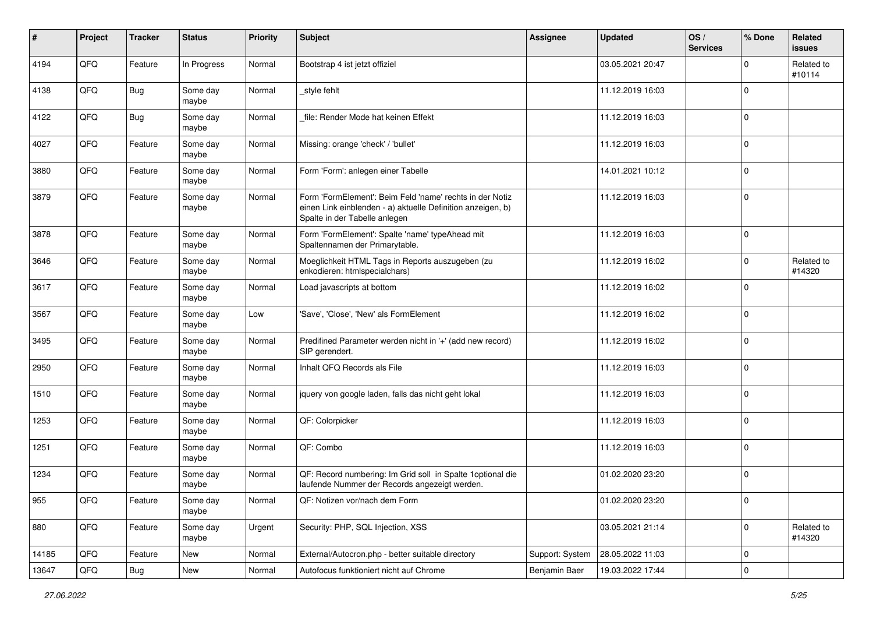| $\sharp$ | Project | <b>Tracker</b> | <b>Status</b>     | <b>Priority</b> | <b>Subject</b>                                                                                                                                           | <b>Assignee</b> | Updated          | OS/<br><b>Services</b> | % Done      | Related<br>issues    |
|----------|---------|----------------|-------------------|-----------------|----------------------------------------------------------------------------------------------------------------------------------------------------------|-----------------|------------------|------------------------|-------------|----------------------|
| 4194     | QFQ     | Feature        | In Progress       | Normal          | Bootstrap 4 ist jetzt offiziel                                                                                                                           |                 | 03.05.2021 20:47 |                        | $\Omega$    | Related to<br>#10114 |
| 4138     | QFQ     | <b>Bug</b>     | Some day<br>maybe | Normal          | style fehlt                                                                                                                                              |                 | 11.12.2019 16:03 |                        | $\mathbf 0$ |                      |
| 4122     | QFQ     | <b>Bug</b>     | Some day<br>maybe | Normal          | file: Render Mode hat keinen Effekt                                                                                                                      |                 | 11.12.2019 16:03 |                        | 0           |                      |
| 4027     | QFQ     | Feature        | Some day<br>maybe | Normal          | Missing: orange 'check' / 'bullet'                                                                                                                       |                 | 11.12.2019 16:03 |                        | $\mathbf 0$ |                      |
| 3880     | QFQ     | Feature        | Some day<br>maybe | Normal          | Form 'Form': anlegen einer Tabelle                                                                                                                       |                 | 14.01.2021 10:12 |                        | $\mathbf 0$ |                      |
| 3879     | QFQ     | Feature        | Some day<br>maybe | Normal          | Form 'FormElement': Beim Feld 'name' rechts in der Notiz<br>einen Link einblenden - a) aktuelle Definition anzeigen, b)<br>Spalte in der Tabelle anlegen |                 | 11.12.2019 16:03 |                        | $\mathbf 0$ |                      |
| 3878     | QFQ     | Feature        | Some day<br>maybe | Normal          | Form 'FormElement': Spalte 'name' typeAhead mit<br>Spaltennamen der Primarytable.                                                                        |                 | 11.12.2019 16:03 |                        | $\Omega$    |                      |
| 3646     | QFQ     | Feature        | Some day<br>maybe | Normal          | Moeglichkeit HTML Tags in Reports auszugeben (zu<br>enkodieren: htmlspecialchars)                                                                        |                 | 11.12.2019 16:02 |                        | $\mathbf 0$ | Related to<br>#14320 |
| 3617     | QFQ     | Feature        | Some day<br>maybe | Normal          | Load javascripts at bottom                                                                                                                               |                 | 11.12.2019 16:02 |                        | $\mathbf 0$ |                      |
| 3567     | QFQ     | Feature        | Some day<br>maybe | Low             | 'Save', 'Close', 'New' als FormElement                                                                                                                   |                 | 11.12.2019 16:02 |                        | 0           |                      |
| 3495     | QFQ     | Feature        | Some day<br>maybe | Normal          | Predifined Parameter werden nicht in '+' (add new record)<br>SIP gerendert.                                                                              |                 | 11.12.2019 16:02 |                        | $\Omega$    |                      |
| 2950     | QFQ     | Feature        | Some day<br>maybe | Normal          | Inhalt QFQ Records als File                                                                                                                              |                 | 11.12.2019 16:03 |                        | $\Omega$    |                      |
| 1510     | QFQ     | Feature        | Some day<br>maybe | Normal          | jquery von google laden, falls das nicht geht lokal                                                                                                      |                 | 11.12.2019 16:03 |                        | $\Omega$    |                      |
| 1253     | QFQ     | Feature        | Some day<br>maybe | Normal          | QF: Colorpicker                                                                                                                                          |                 | 11.12.2019 16:03 |                        | $\Omega$    |                      |
| 1251     | QFQ     | Feature        | Some day<br>maybe | Normal          | QF: Combo                                                                                                                                                |                 | 11.12.2019 16:03 |                        | 0           |                      |
| 1234     | QFQ     | Feature        | Some day<br>maybe | Normal          | QF: Record numbering: Im Grid soll in Spalte 1optional die<br>laufende Nummer der Records angezeigt werden.                                              |                 | 01.02.2020 23:20 |                        | $\mathbf 0$ |                      |
| 955      | QFQ     | Feature        | Some day<br>maybe | Normal          | QF: Notizen vor/nach dem Form                                                                                                                            |                 | 01.02.2020 23:20 |                        | l 0         |                      |
| 880      | QFQ     | Feature        | Some day<br>maybe | Urgent          | Security: PHP, SQL Injection, XSS                                                                                                                        |                 | 03.05.2021 21:14 |                        | $\Omega$    | Related to<br>#14320 |
| 14185    | QFQ     | Feature        | New               | Normal          | External/Autocron.php - better suitable directory                                                                                                        | Support: System | 28.05.2022 11:03 |                        | $\mathbf 0$ |                      |
| 13647    | QFQ     | Bug            | New               | Normal          | Autofocus funktioniert nicht auf Chrome                                                                                                                  | Benjamin Baer   | 19.03.2022 17:44 |                        | 0           |                      |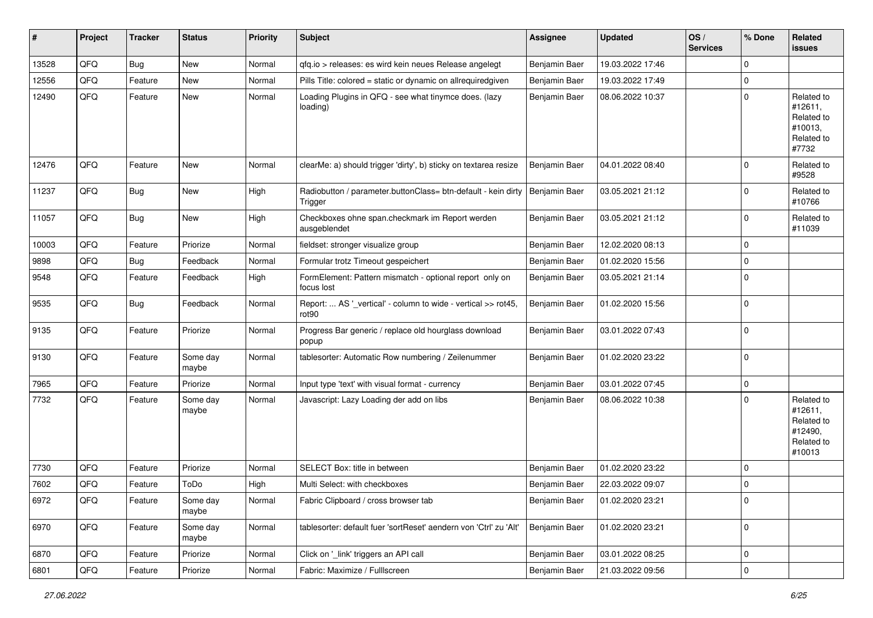| #     | Project | <b>Tracker</b> | <b>Status</b>     | <b>Priority</b> | Subject                                                                            | <b>Assignee</b> | <b>Updated</b>   | OS/<br><b>Services</b> | % Done      | Related<br>issues                                                      |
|-------|---------|----------------|-------------------|-----------------|------------------------------------------------------------------------------------|-----------------|------------------|------------------------|-------------|------------------------------------------------------------------------|
| 13528 | QFQ     | Bug            | New               | Normal          | gfg.io > releases: es wird kein neues Release angelegt                             | Benjamin Baer   | 19.03.2022 17:46 |                        | $\Omega$    |                                                                        |
| 12556 | QFQ     | Feature        | New               | Normal          | Pills Title: colored = static or dynamic on allrequiredgiven                       | Benjamin Baer   | 19.03.2022 17:49 |                        | $\mathbf 0$ |                                                                        |
| 12490 | QFQ     | Feature        | New               | Normal          | Loading Plugins in QFQ - see what tinymce does. (lazy<br>loading)                  | Benjamin Baer   | 08.06.2022 10:37 |                        | $\Omega$    | Related to<br>#12611,<br>Related to<br>#10013,<br>Related to<br>#7732  |
| 12476 | QFQ     | Feature        | New               | Normal          | clearMe: a) should trigger 'dirty', b) sticky on textarea resize                   | Benjamin Baer   | 04.01.2022 08:40 |                        | $\Omega$    | Related to<br>#9528                                                    |
| 11237 | QFQ     | Bug            | New               | High            | Radiobutton / parameter.buttonClass= btn-default - kein dirty<br>Trigger           | Benjamin Baer   | 03.05.2021 21:12 |                        | $\Omega$    | Related to<br>#10766                                                   |
| 11057 | QFQ     | Bug            | New               | High            | Checkboxes ohne span.checkmark im Report werden<br>ausgeblendet                    | Benjamin Baer   | 03.05.2021 21:12 |                        | $\Omega$    | Related to<br>#11039                                                   |
| 10003 | QFQ     | Feature        | Priorize          | Normal          | fieldset: stronger visualize group                                                 | Benjamin Baer   | 12.02.2020 08:13 |                        | $\mathbf 0$ |                                                                        |
| 9898  | QFQ     | Bug            | Feedback          | Normal          | Formular trotz Timeout gespeichert                                                 | Benjamin Baer   | 01.02.2020 15:56 |                        | $\mathbf 0$ |                                                                        |
| 9548  | QFQ     | Feature        | Feedback          | High            | FormElement: Pattern mismatch - optional report only on<br>focus lost              | Benjamin Baer   | 03.05.2021 21:14 |                        | 0           |                                                                        |
| 9535  | QFQ     | <b>Bug</b>     | Feedback          | Normal          | Report:  AS '_vertical' - column to wide - vertical >> rot45,<br>rot <sub>90</sub> | Benjamin Baer   | 01.02.2020 15:56 |                        | $\mathbf 0$ |                                                                        |
| 9135  | QFQ     | Feature        | Priorize          | Normal          | Progress Bar generic / replace old hourglass download<br>popup                     | Benjamin Baer   | 03.01.2022 07:43 |                        | 0           |                                                                        |
| 9130  | QFQ     | Feature        | Some day<br>maybe | Normal          | tablesorter: Automatic Row numbering / Zeilenummer                                 | Benjamin Baer   | 01.02.2020 23:22 |                        | 0           |                                                                        |
| 7965  | QFQ     | Feature        | Priorize          | Normal          | Input type 'text' with visual format - currency                                    | Benjamin Baer   | 03.01.2022 07:45 |                        | $\mathbf 0$ |                                                                        |
| 7732  | QFQ     | Feature        | Some day<br>maybe | Normal          | Javascript: Lazy Loading der add on libs                                           | Benjamin Baer   | 08.06.2022 10:38 |                        | $\Omega$    | Related to<br>#12611,<br>Related to<br>#12490,<br>Related to<br>#10013 |
| 7730  | QFQ     | Feature        | Priorize          | Normal          | SELECT Box: title in between                                                       | Benjamin Baer   | 01.02.2020 23:22 |                        | 0           |                                                                        |
| 7602  | QFQ     | Feature        | ToDo              | High            | Multi Select: with checkboxes                                                      | Benjamin Baer   | 22.03.2022 09:07 |                        | $\mathbf 0$ |                                                                        |
| 6972  | QFQ     | Feature        | Some day<br>maybe | Normal          | Fabric Clipboard / cross browser tab                                               | Benjamin Baer   | 01.02.2020 23:21 |                        | 0           |                                                                        |
| 6970  | QFQ     | Feature        | Some day<br>maybe | Normal          | tablesorter: default fuer 'sortReset' aendern von 'Ctrl' zu 'Alt'                  | Benjamin Baer   | 01.02.2020 23:21 |                        | $\mathbf 0$ |                                                                        |
| 6870  | QFQ     | Feature        | Priorize          | Normal          | Click on '_link' triggers an API call                                              | Benjamin Baer   | 03.01.2022 08:25 |                        | 0           |                                                                        |
| 6801  | QFQ     | Feature        | Priorize          | Normal          | Fabric: Maximize / Fulllscreen                                                     | Benjamin Baer   | 21.03.2022 09:56 |                        | 0           |                                                                        |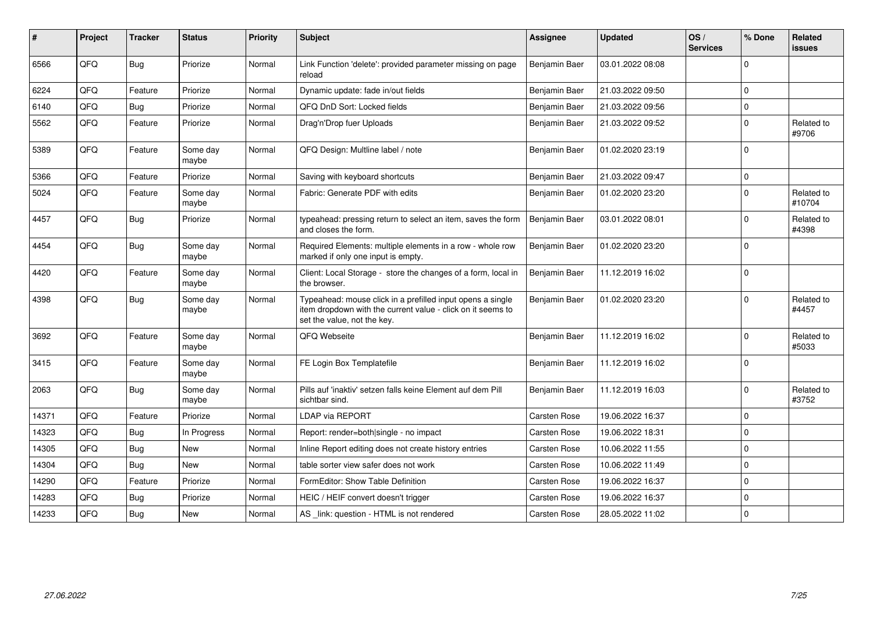| #     | Project | <b>Tracker</b> | <b>Status</b>     | <b>Priority</b> | <b>Subject</b>                                                                                                                                           | <b>Assignee</b>     | <b>Updated</b>   | OS/<br><b>Services</b> | % Done      | <b>Related</b><br><b>issues</b> |
|-------|---------|----------------|-------------------|-----------------|----------------------------------------------------------------------------------------------------------------------------------------------------------|---------------------|------------------|------------------------|-------------|---------------------------------|
| 6566  | QFQ     | Bug            | Priorize          | Normal          | Link Function 'delete': provided parameter missing on page<br>reload                                                                                     | Benjamin Baer       | 03.01.2022 08:08 |                        | $\Omega$    |                                 |
| 6224  | QFQ     | Feature        | Priorize          | Normal          | Dynamic update: fade in/out fields                                                                                                                       | Benjamin Baer       | 21.03.2022 09:50 |                        | $\mathbf 0$ |                                 |
| 6140  | QFQ     | Bug            | Priorize          | Normal          | QFQ DnD Sort: Locked fields                                                                                                                              | Benjamin Baer       | 21.03.2022 09:56 |                        | $\mathbf 0$ |                                 |
| 5562  | QFQ     | Feature        | Priorize          | Normal          | Drag'n'Drop fuer Uploads                                                                                                                                 | Benjamin Baer       | 21.03.2022 09:52 |                        | $\Omega$    | Related to<br>#9706             |
| 5389  | QFQ     | Feature        | Some day<br>maybe | Normal          | QFQ Design: Multline label / note                                                                                                                        | Benjamin Baer       | 01.02.2020 23:19 |                        | $\Omega$    |                                 |
| 5366  | QFQ     | Feature        | Priorize          | Normal          | Saving with keyboard shortcuts                                                                                                                           | Benjamin Baer       | 21.03.2022 09:47 |                        | $\mathbf 0$ |                                 |
| 5024  | QFQ     | Feature        | Some day<br>maybe | Normal          | Fabric: Generate PDF with edits                                                                                                                          | Benjamin Baer       | 01.02.2020 23:20 |                        | $\Omega$    | Related to<br>#10704            |
| 4457  | QFQ     | <b>Bug</b>     | Priorize          | Normal          | typeahead: pressing return to select an item, saves the form<br>and closes the form.                                                                     | Benjamin Baer       | 03.01.2022 08:01 |                        | $\Omega$    | Related to<br>#4398             |
| 4454  | QFQ     | <b>Bug</b>     | Some day<br>maybe | Normal          | Required Elements: multiple elements in a row - whole row<br>marked if only one input is empty.                                                          | Benjamin Baer       | 01.02.2020 23:20 |                        | $\Omega$    |                                 |
| 4420  | QFQ     | Feature        | Some day<br>maybe | Normal          | Client: Local Storage - store the changes of a form, local in<br>the browser.                                                                            | Benjamin Baer       | 11.12.2019 16:02 |                        | $\Omega$    |                                 |
| 4398  | QFQ     | <b>Bug</b>     | Some day<br>maybe | Normal          | Typeahead: mouse click in a prefilled input opens a single<br>item dropdown with the current value - click on it seems to<br>set the value, not the key. | Benjamin Baer       | 01.02.2020 23:20 |                        | $\Omega$    | Related to<br>#4457             |
| 3692  | QFQ     | Feature        | Some day<br>maybe | Normal          | QFQ Webseite                                                                                                                                             | Benjamin Baer       | 11.12.2019 16:02 |                        | $\Omega$    | Related to<br>#5033             |
| 3415  | QFQ     | Feature        | Some day<br>maybe | Normal          | FE Login Box Templatefile                                                                                                                                | Benjamin Baer       | 11.12.2019 16:02 |                        | $\Omega$    |                                 |
| 2063  | QFQ     | Bug            | Some day<br>maybe | Normal          | Pills auf 'inaktiv' setzen falls keine Element auf dem Pill<br>sichtbar sind.                                                                            | Benjamin Baer       | 11.12.2019 16:03 |                        | $\Omega$    | Related to<br>#3752             |
| 14371 | QFQ     | Feature        | Priorize          | Normal          | LDAP via REPORT                                                                                                                                          | Carsten Rose        | 19.06.2022 16:37 |                        | $\Omega$    |                                 |
| 14323 | QFQ     | Bug            | In Progress       | Normal          | Report: render=both single - no impact                                                                                                                   | <b>Carsten Rose</b> | 19.06.2022 18:31 |                        | $\Omega$    |                                 |
| 14305 | QFQ     | <b>Bug</b>     | <b>New</b>        | Normal          | Inline Report editing does not create history entries                                                                                                    | <b>Carsten Rose</b> | 10.06.2022 11:55 |                        | $\Omega$    |                                 |
| 14304 | QFQ     | Bug            | New               | Normal          | table sorter view safer does not work                                                                                                                    | <b>Carsten Rose</b> | 10.06.2022 11:49 |                        | $\Omega$    |                                 |
| 14290 | QFQ     | Feature        | Priorize          | Normal          | FormEditor: Show Table Definition                                                                                                                        | Carsten Rose        | 19.06.2022 16:37 |                        | $\Omega$    |                                 |
| 14283 | QFQ     | Bug            | Priorize          | Normal          | HEIC / HEIF convert doesn't trigger                                                                                                                      | <b>Carsten Rose</b> | 19.06.2022 16:37 |                        | $\mathbf 0$ |                                 |
| 14233 | QFQ     | Bug            | New               | Normal          | AS _link: question - HTML is not rendered                                                                                                                | Carsten Rose        | 28.05.2022 11:02 |                        | $\Omega$    |                                 |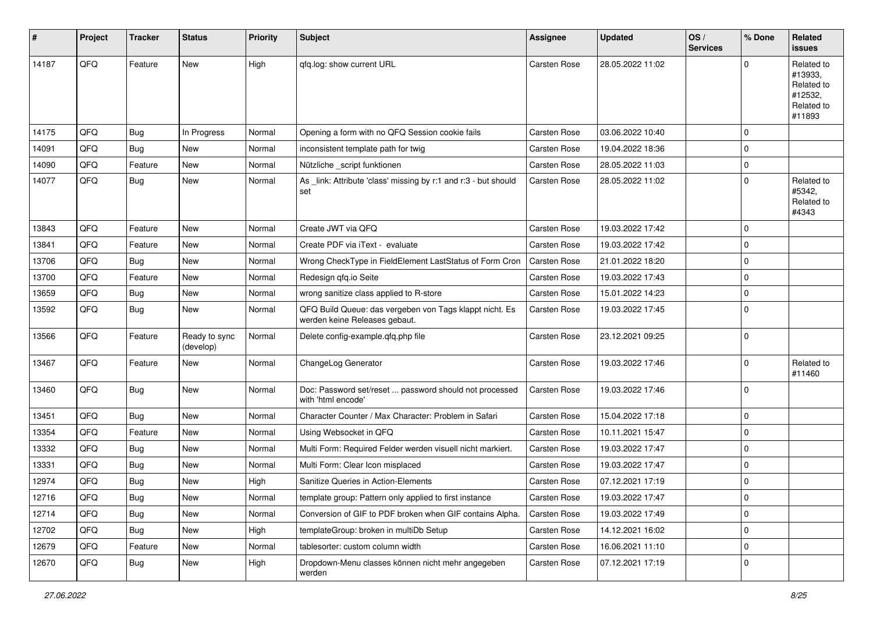| #     | Project | <b>Tracker</b> | <b>Status</b>              | <b>Priority</b> | <b>Subject</b>                                                                           | <b>Assignee</b>     | <b>Updated</b>   | OS/<br><b>Services</b> | % Done      | Related<br><b>issues</b>                                               |
|-------|---------|----------------|----------------------------|-----------------|------------------------------------------------------------------------------------------|---------------------|------------------|------------------------|-------------|------------------------------------------------------------------------|
| 14187 | QFQ     | Feature        | New                        | High            | qfq.log: show current URL                                                                | Carsten Rose        | 28.05.2022 11:02 |                        | $\Omega$    | Related to<br>#13933,<br>Related to<br>#12532,<br>Related to<br>#11893 |
| 14175 | QFQ     | <b>Bug</b>     | In Progress                | Normal          | Opening a form with no QFQ Session cookie fails                                          | Carsten Rose        | 03.06.2022 10:40 |                        | $\mathbf 0$ |                                                                        |
| 14091 | QFQ     | <b>Bug</b>     | New                        | Normal          | inconsistent template path for twig                                                      | Carsten Rose        | 19.04.2022 18:36 |                        | $\mathbf 0$ |                                                                        |
| 14090 | QFQ     | Feature        | <b>New</b>                 | Normal          | Nützliche _script funktionen                                                             | Carsten Rose        | 28.05.2022 11:03 |                        | 0           |                                                                        |
| 14077 | QFQ     | <b>Bug</b>     | <b>New</b>                 | Normal          | As _link: Attribute 'class' missing by r:1 and r:3 - but should<br>set                   | <b>Carsten Rose</b> | 28.05.2022 11:02 |                        | $\mathbf 0$ | Related to<br>#5342,<br>Related to<br>#4343                            |
| 13843 | QFQ     | Feature        | New                        | Normal          | Create JWT via QFQ                                                                       | Carsten Rose        | 19.03.2022 17:42 |                        | $\mathbf 0$ |                                                                        |
| 13841 | QFQ     | Feature        | <b>New</b>                 | Normal          | Create PDF via iText - evaluate                                                          | Carsten Rose        | 19.03.2022 17:42 |                        | $\mathbf 0$ |                                                                        |
| 13706 | QFQ     | Bug            | New                        | Normal          | Wrong CheckType in FieldElement LastStatus of Form Cron                                  | <b>Carsten Rose</b> | 21.01.2022 18:20 |                        | $\mathbf 0$ |                                                                        |
| 13700 | QFQ     | Feature        | <b>New</b>                 | Normal          | Redesign qfq.io Seite                                                                    | Carsten Rose        | 19.03.2022 17:43 |                        | 0           |                                                                        |
| 13659 | QFQ     | <b>Bug</b>     | <b>New</b>                 | Normal          | wrong sanitize class applied to R-store                                                  | Carsten Rose        | 15.01.2022 14:23 |                        | $\mathbf 0$ |                                                                        |
| 13592 | QFQ     | <b>Bug</b>     | New                        | Normal          | QFQ Build Queue: das vergeben von Tags klappt nicht. Es<br>werden keine Releases gebaut. | Carsten Rose        | 19.03.2022 17:45 |                        | $\mathbf 0$ |                                                                        |
| 13566 | QFQ     | Feature        | Ready to sync<br>(develop) | Normal          | Delete config-example.qfq.php file                                                       | Carsten Rose        | 23.12.2021 09:25 |                        | 0           |                                                                        |
| 13467 | QFQ     | Feature        | <b>New</b>                 | Normal          | ChangeLog Generator                                                                      | Carsten Rose        | 19.03.2022 17:46 |                        | 0           | Related to<br>#11460                                                   |
| 13460 | QFQ     | <b>Bug</b>     | <b>New</b>                 | Normal          | Doc: Password set/reset  password should not processed<br>with 'html encode'             | <b>Carsten Rose</b> | 19.03.2022 17:46 |                        | 0           |                                                                        |
| 13451 | QFQ     | <b>Bug</b>     | New                        | Normal          | Character Counter / Max Character: Problem in Safari                                     | Carsten Rose        | 15.04.2022 17:18 |                        | 0           |                                                                        |
| 13354 | QFQ     | Feature        | <b>New</b>                 | Normal          | Using Websocket in QFQ                                                                   | Carsten Rose        | 10.11.2021 15:47 |                        | $\mathbf 0$ |                                                                        |
| 13332 | QFQ     | Bug            | New                        | Normal          | Multi Form: Required Felder werden visuell nicht markiert.                               | <b>Carsten Rose</b> | 19.03.2022 17:47 |                        | 0           |                                                                        |
| 13331 | QFQ     | <b>Bug</b>     | New                        | Normal          | Multi Form: Clear Icon misplaced                                                         | Carsten Rose        | 19.03.2022 17:47 |                        | $\mathbf 0$ |                                                                        |
| 12974 | QFQ     | Bug            | <b>New</b>                 | High            | Sanitize Queries in Action-Elements                                                      | Carsten Rose        | 07.12.2021 17:19 |                        | 0           |                                                                        |
| 12716 | QFQ     | <b>Bug</b>     | New                        | Normal          | template group: Pattern only applied to first instance                                   | Carsten Rose        | 19.03.2022 17:47 |                        | 0           |                                                                        |
| 12714 | QFQ     | <b>Bug</b>     | New                        | Normal          | Conversion of GIF to PDF broken when GIF contains Alpha.                                 | Carsten Rose        | 19.03.2022 17:49 |                        | $\pmb{0}$   |                                                                        |
| 12702 | QFQ     | <b>Bug</b>     | New                        | High            | templateGroup: broken in multiDb Setup                                                   | Carsten Rose        | 14.12.2021 16:02 |                        | 0           |                                                                        |
| 12679 | QFQ     | Feature        | New                        | Normal          | tablesorter: custom column width                                                         | Carsten Rose        | 16.06.2021 11:10 |                        | 0           |                                                                        |
| 12670 | QFQ     | Bug            | New                        | High            | Dropdown-Menu classes können nicht mehr angegeben<br>werden                              | Carsten Rose        | 07.12.2021 17:19 |                        | 0           |                                                                        |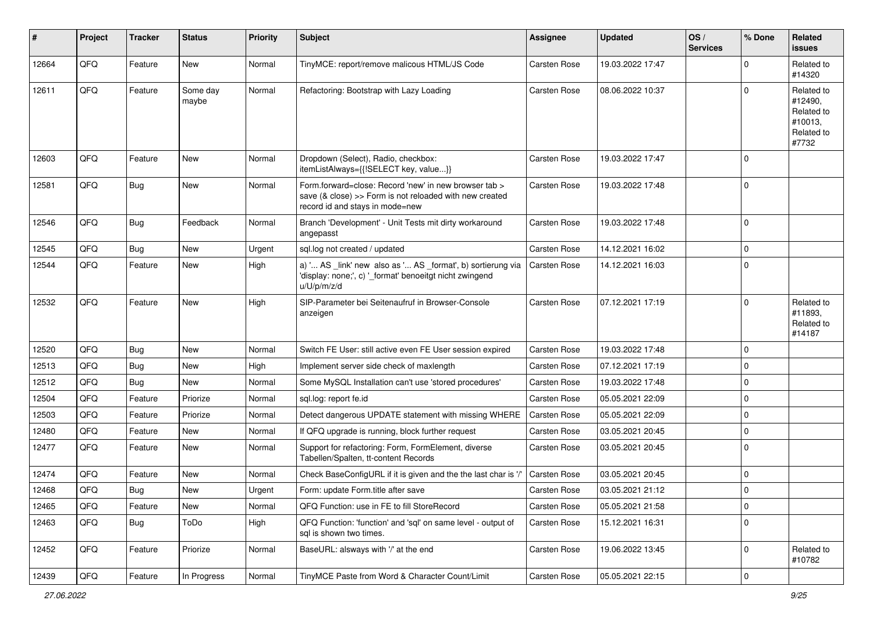| #     | Project | <b>Tracker</b> | <b>Status</b>     | <b>Priority</b> | <b>Subject</b>                                                                                                                                      | <b>Assignee</b>     | <b>Updated</b>   | OS/<br><b>Services</b> | % Done      | Related<br><b>issues</b>                                              |
|-------|---------|----------------|-------------------|-----------------|-----------------------------------------------------------------------------------------------------------------------------------------------------|---------------------|------------------|------------------------|-------------|-----------------------------------------------------------------------|
| 12664 | QFQ     | Feature        | New               | Normal          | TinyMCE: report/remove malicous HTML/JS Code                                                                                                        | <b>Carsten Rose</b> | 19.03.2022 17:47 |                        | $\Omega$    | Related to<br>#14320                                                  |
| 12611 | QFQ     | Feature        | Some day<br>maybe | Normal          | Refactoring: Bootstrap with Lazy Loading                                                                                                            | <b>Carsten Rose</b> | 08.06.2022 10:37 |                        | $\Omega$    | Related to<br>#12490,<br>Related to<br>#10013,<br>Related to<br>#7732 |
| 12603 | QFQ     | Feature        | New               | Normal          | Dropdown (Select), Radio, checkbox:<br>itemListAlways={{!SELECT key, value}}                                                                        | <b>Carsten Rose</b> | 19.03.2022 17:47 |                        | $\Omega$    |                                                                       |
| 12581 | QFQ     | <b>Bug</b>     | <b>New</b>        | Normal          | Form.forward=close: Record 'new' in new browser tab ><br>save (& close) >> Form is not reloaded with new created<br>record id and stays in mode=new | <b>Carsten Rose</b> | 19.03.2022 17:48 |                        | $\Omega$    |                                                                       |
| 12546 | QFQ     | Bug            | Feedback          | Normal          | Branch 'Development' - Unit Tests mit dirty workaround<br>angepasst                                                                                 | <b>Carsten Rose</b> | 19.03.2022 17:48 |                        | $\Omega$    |                                                                       |
| 12545 | QFQ     | Bug            | New               | Urgent          | sql.log not created / updated                                                                                                                       | <b>Carsten Rose</b> | 14.12.2021 16:02 |                        | $\Omega$    |                                                                       |
| 12544 | QFQ     | Feature        | New               | High            | a) ' AS _link' new also as ' AS _format', b) sortierung via<br>'display: none;', c) '_format' benoeitgt nicht zwingend<br>u/U/p/m/z/d               | <b>Carsten Rose</b> | 14.12.2021 16:03 |                        | $\mathbf 0$ |                                                                       |
| 12532 | QFQ     | Feature        | <b>New</b>        | High            | SIP-Parameter bei Seitenaufruf in Browser-Console<br>anzeigen                                                                                       | <b>Carsten Rose</b> | 07.12.2021 17:19 |                        | $\Omega$    | Related to<br>#11893,<br>Related to<br>#14187                         |
| 12520 | QFQ     | Bug            | New               | Normal          | Switch FE User: still active even FE User session expired                                                                                           | <b>Carsten Rose</b> | 19.03.2022 17:48 |                        | $\mathbf 0$ |                                                                       |
| 12513 | QFQ     | Bug            | <b>New</b>        | High            | Implement server side check of maxlength                                                                                                            | <b>Carsten Rose</b> | 07.12.2021 17:19 |                        | $\mathbf 0$ |                                                                       |
| 12512 | QFQ     | <b>Bug</b>     | New               | Normal          | Some MySQL Installation can't use 'stored procedures'                                                                                               | <b>Carsten Rose</b> | 19.03.2022 17:48 |                        | $\mathbf 0$ |                                                                       |
| 12504 | QFQ     | Feature        | Priorize          | Normal          | sql.log: report fe.id                                                                                                                               | <b>Carsten Rose</b> | 05.05.2021 22:09 |                        | $\mathbf 0$ |                                                                       |
| 12503 | QFQ     | Feature        | Priorize          | Normal          | Detect dangerous UPDATE statement with missing WHERE                                                                                                | <b>Carsten Rose</b> | 05.05.2021 22:09 |                        | $\mathbf 0$ |                                                                       |
| 12480 | QFQ     | Feature        | New               | Normal          | If QFQ upgrade is running, block further request                                                                                                    | <b>Carsten Rose</b> | 03.05.2021 20:45 |                        | $\mathbf 0$ |                                                                       |
| 12477 | QFQ     | Feature        | New               | Normal          | Support for refactoring: Form, FormElement, diverse<br>Tabellen/Spalten, tt-content Records                                                         | Carsten Rose        | 03.05.2021 20:45 |                        | $\Omega$    |                                                                       |
| 12474 | QFQ     | Feature        | New               | Normal          | Check BaseConfigURL if it is given and the the last char is '/'                                                                                     | <b>Carsten Rose</b> | 03.05.2021 20:45 |                        | $\mathbf 0$ |                                                                       |
| 12468 | QFQ     | Bug            | New               | Urgent          | Form: update Form.title after save                                                                                                                  | <b>Carsten Rose</b> | 03.05.2021 21:12 |                        | $\Omega$    |                                                                       |
| 12465 | QFQ     | Feature        | New               | Normal          | QFQ Function: use in FE to fill StoreRecord                                                                                                         | Carsten Rose        | 05.05.2021 21:58 |                        | $\mathbf 0$ |                                                                       |
| 12463 | QFQ     | <b>Bug</b>     | ToDo              | High            | QFQ Function: 'function' and 'sql' on same level - output of<br>sql is shown two times.                                                             | <b>Carsten Rose</b> | 15.12.2021 16:31 |                        | $\mathbf 0$ |                                                                       |
| 12452 | QFQ     | Feature        | Priorize          | Normal          | BaseURL: alsways with '/' at the end                                                                                                                | <b>Carsten Rose</b> | 19.06.2022 13:45 |                        | $\mathbf 0$ | Related to<br>#10782                                                  |
| 12439 | QFQ     | Feature        | In Progress       | Normal          | TinyMCE Paste from Word & Character Count/Limit                                                                                                     | Carsten Rose        | 05.05.2021 22:15 |                        | 0           |                                                                       |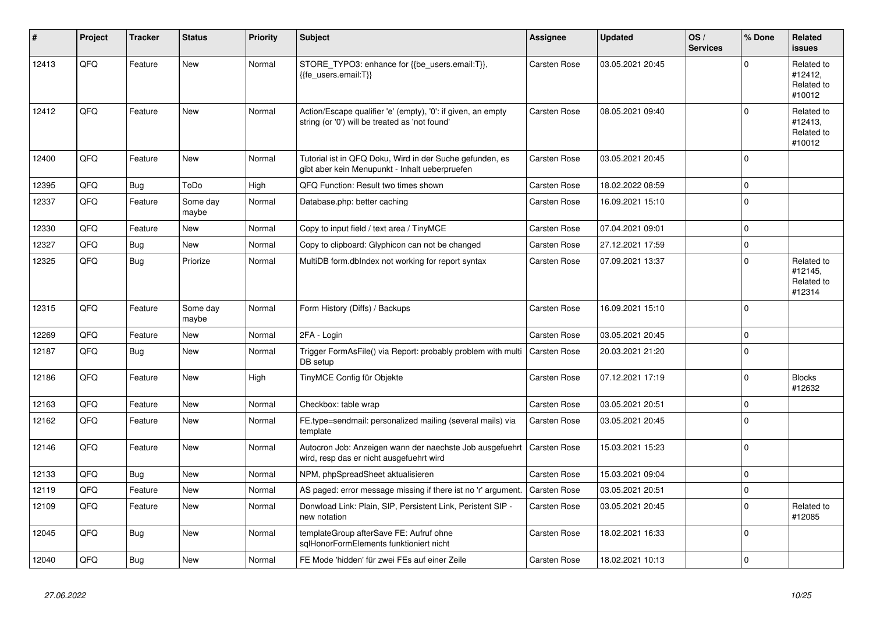| ∦     | Project | <b>Tracker</b> | <b>Status</b>     | <b>Priority</b> | <b>Subject</b>                                                                                                 | Assignee            | <b>Updated</b>   | OS/<br><b>Services</b> | % Done   | Related<br><b>issues</b>                      |
|-------|---------|----------------|-------------------|-----------------|----------------------------------------------------------------------------------------------------------------|---------------------|------------------|------------------------|----------|-----------------------------------------------|
| 12413 | QFG     | Feature        | <b>New</b>        | Normal          | STORE_TYPO3: enhance for {{be_users.email:T}},<br>{{fe users.email:T}}                                         | Carsten Rose        | 03.05.2021 20:45 |                        | $\Omega$ | Related to<br>#12412,<br>Related to<br>#10012 |
| 12412 | QFQ     | Feature        | <b>New</b>        | Normal          | Action/Escape qualifier 'e' (empty), '0': if given, an empty<br>string (or '0') will be treated as 'not found' | Carsten Rose        | 08.05.2021 09:40 |                        | $\Omega$ | Related to<br>#12413.<br>Related to<br>#10012 |
| 12400 | QFQ     | Feature        | New               | Normal          | Tutorial ist in QFQ Doku, Wird in der Suche gefunden, es<br>gibt aber kein Menupunkt - Inhalt ueberpruefen     | <b>Carsten Rose</b> | 03.05.2021 20:45 |                        | $\Omega$ |                                               |
| 12395 | QFQ     | <b>Bug</b>     | ToDo              | High            | QFQ Function: Result two times shown                                                                           | Carsten Rose        | 18.02.2022 08:59 |                        | $\Omega$ |                                               |
| 12337 | QFQ     | Feature        | Some day<br>maybe | Normal          | Database.php: better caching                                                                                   | Carsten Rose        | 16.09.2021 15:10 |                        | $\Omega$ |                                               |
| 12330 | QFQ     | Feature        | <b>New</b>        | Normal          | Copy to input field / text area / TinyMCE                                                                      | <b>Carsten Rose</b> | 07.04.2021 09:01 |                        | $\Omega$ |                                               |
| 12327 | QFQ     | Bug            | <b>New</b>        | Normal          | Copy to clipboard: Glyphicon can not be changed                                                                | Carsten Rose        | 27.12.2021 17:59 |                        | $\Omega$ |                                               |
| 12325 | QFQ     | Bug            | Priorize          | Normal          | MultiDB form.dblndex not working for report syntax                                                             | <b>Carsten Rose</b> | 07.09.2021 13:37 |                        | $\Omega$ | Related to<br>#12145.<br>Related to<br>#12314 |
| 12315 | QFQ     | Feature        | Some day<br>maybe | Normal          | Form History (Diffs) / Backups                                                                                 | <b>Carsten Rose</b> | 16.09.2021 15:10 |                        | $\Omega$ |                                               |
| 12269 | QFQ     | Feature        | <b>New</b>        | Normal          | 2FA - Login                                                                                                    | <b>Carsten Rose</b> | 03.05.2021 20:45 |                        | $\Omega$ |                                               |
| 12187 | QFQ     | Bug            | New               | Normal          | Trigger FormAsFile() via Report: probably problem with multi<br>DB setup                                       | <b>Carsten Rose</b> | 20.03.2021 21:20 |                        | $\Omega$ |                                               |
| 12186 | QFQ     | Feature        | <b>New</b>        | High            | TinyMCE Config für Objekte                                                                                     | Carsten Rose        | 07.12.2021 17:19 |                        | $\Omega$ | <b>Blocks</b><br>#12632                       |
| 12163 | QFQ     | Feature        | <b>New</b>        | Normal          | Checkbox: table wrap                                                                                           | <b>Carsten Rose</b> | 03.05.2021 20:51 |                        | $\Omega$ |                                               |
| 12162 | QFQ     | Feature        | <b>New</b>        | Normal          | FE.type=sendmail: personalized mailing (several mails) via<br>template                                         | <b>Carsten Rose</b> | 03.05.2021 20:45 |                        | $\Omega$ |                                               |
| 12146 | QFQ     | Feature        | <b>New</b>        | Normal          | Autocron Job: Anzeigen wann der naechste Job ausgefuehrt<br>wird, resp das er nicht ausgefuehrt wird           | <b>Carsten Rose</b> | 15.03.2021 15:23 |                        | $\Omega$ |                                               |
| 12133 | QFQ     | Bug            | <b>New</b>        | Normal          | NPM, phpSpreadSheet aktualisieren                                                                              | <b>Carsten Rose</b> | 15.03.2021 09:04 |                        | $\Omega$ |                                               |
| 12119 | QFQ     | Feature        | <b>New</b>        | Normal          | AS paged: error message missing if there ist no 'r' argument.                                                  | <b>Carsten Rose</b> | 03.05.2021 20:51 |                        | $\Omega$ |                                               |
| 12109 | QFQ     | Feature        | New               | Normal          | Donwload Link: Plain, SIP, Persistent Link, Peristent SIP -<br>new notation                                    | Carsten Rose        | 03.05.2021 20:45 |                        | $\Omega$ | Related to<br>#12085                          |
| 12045 | QFQ     | Bug            | <b>New</b>        | Normal          | templateGroup afterSave FE: Aufruf ohne<br>sglHonorFormElements funktioniert nicht                             | Carsten Rose        | 18.02.2021 16:33 |                        | $\Omega$ |                                               |
| 12040 | QFQ     | Bug            | New               | Normal          | FE Mode 'hidden' für zwei FEs auf einer Zeile                                                                  | Carsten Rose        | 18.02.2021 10:13 |                        | $\Omega$ |                                               |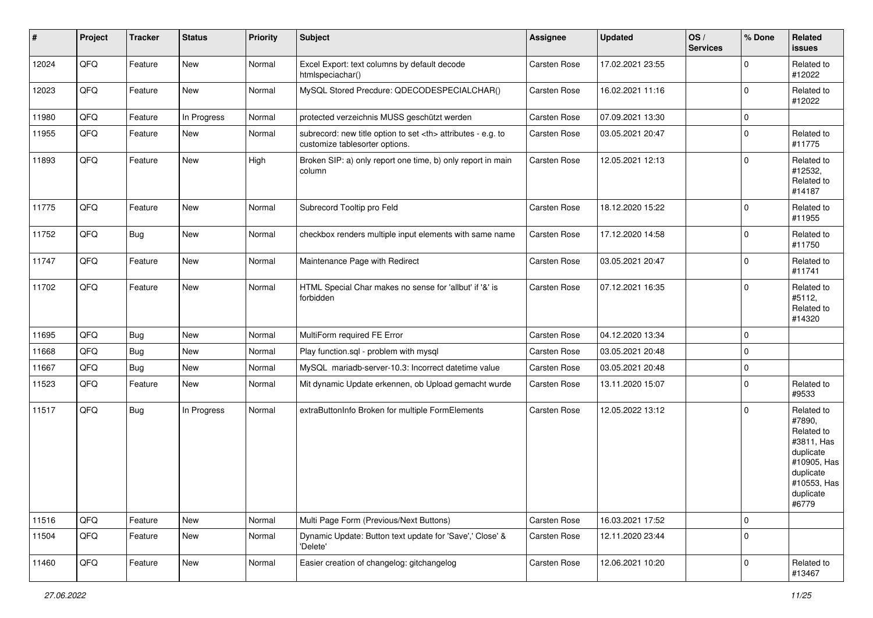| $\vert$ # | Project | <b>Tracker</b> | <b>Status</b> | <b>Priority</b> | <b>Subject</b>                                                                                       | Assignee                                               | <b>Updated</b>   | OS/<br><b>Services</b> | % Done      | Related<br>issues                                                                                                              |                      |
|-----------|---------|----------------|---------------|-----------------|------------------------------------------------------------------------------------------------------|--------------------------------------------------------|------------------|------------------------|-------------|--------------------------------------------------------------------------------------------------------------------------------|----------------------|
| 12024     | QFQ     | Feature        | New           | Normal          | Excel Export: text columns by default decode<br>htmlspeciachar()                                     | Carsten Rose                                           | 17.02.2021 23:55 |                        | $\mathbf 0$ | Related to<br>#12022                                                                                                           |                      |
| 12023     | QFQ     | Feature        | New           | Normal          | MySQL Stored Precdure: QDECODESPECIALCHAR()                                                          | Carsten Rose                                           | 16.02.2021 11:16 |                        | $\mathbf 0$ | Related to<br>#12022                                                                                                           |                      |
| 11980     | QFQ     | Feature        | In Progress   | Normal          | protected verzeichnis MUSS geschützt werden                                                          | Carsten Rose                                           | 07.09.2021 13:30 |                        | $\mathbf 0$ |                                                                                                                                |                      |
| 11955     | QFG     | Feature        | New           | Normal          | subrecord: new title option to set <th> attributes - e.g. to<br/>customize tablesorter options.</th> | attributes - e.g. to<br>customize tablesorter options. | Carsten Rose     | 03.05.2021 20:47       |             | $\mathbf 0$                                                                                                                    | Related to<br>#11775 |
| 11893     | QFQ     | Feature        | New           | High            | Broken SIP: a) only report one time, b) only report in main<br>column                                | Carsten Rose                                           | 12.05.2021 12:13 |                        | $\mathbf 0$ | Related to<br>#12532,<br>Related to<br>#14187                                                                                  |                      |
| 11775     | QFQ     | Feature        | <b>New</b>    | Normal          | Subrecord Tooltip pro Feld                                                                           | Carsten Rose                                           | 18.12.2020 15:22 |                        | $\mathbf 0$ | Related to<br>#11955                                                                                                           |                      |
| 11752     | QFQ     | <b>Bug</b>     | <b>New</b>    | Normal          | checkbox renders multiple input elements with same name                                              | Carsten Rose                                           | 17.12.2020 14:58 |                        | $\Omega$    | Related to<br>#11750                                                                                                           |                      |
| 11747     | QFQ     | Feature        | New           | Normal          | Maintenance Page with Redirect                                                                       | Carsten Rose                                           | 03.05.2021 20:47 |                        | $\mathbf 0$ | Related to<br>#11741                                                                                                           |                      |
| 11702     | QFQ     | Feature        | New           | Normal          | HTML Special Char makes no sense for 'allbut' if '&' is<br>forbidden                                 | Carsten Rose                                           | 07.12.2021 16:35 |                        | $\mathbf 0$ | Related to<br>#5112,<br>Related to<br>#14320                                                                                   |                      |
| 11695     | QFQ     | <b>Bug</b>     | New           | Normal          | MultiForm required FE Error                                                                          | Carsten Rose                                           | 04.12.2020 13:34 |                        | $\mathbf 0$ |                                                                                                                                |                      |
| 11668     | QFQ     | <b>Bug</b>     | <b>New</b>    | Normal          | Play function.sql - problem with mysql                                                               | Carsten Rose                                           | 03.05.2021 20:48 |                        | $\mathbf 0$ |                                                                                                                                |                      |
| 11667     | QFQ     | Bug            | New           | Normal          | MySQL mariadb-server-10.3: Incorrect datetime value                                                  | Carsten Rose                                           | 03.05.2021 20:48 |                        | $\mathbf 0$ |                                                                                                                                |                      |
| 11523     | QFQ     | Feature        | New           | Normal          | Mit dynamic Update erkennen, ob Upload gemacht wurde                                                 | Carsten Rose                                           | 13.11.2020 15:07 |                        | $\Omega$    | Related to<br>#9533                                                                                                            |                      |
| 11517     | QFQ     | <b>Bug</b>     | In Progress   | Normal          | extraButtonInfo Broken for multiple FormElements                                                     | Carsten Rose                                           | 12.05.2022 13:12 |                        | $\mathbf 0$ | Related to<br>#7890,<br>Related to<br>#3811, Has<br>duplicate<br>#10905, Has<br>duplicate<br>#10553, Has<br>duplicate<br>#6779 |                      |
| 11516     | QFQ     | Feature        | New           | Normal          | Multi Page Form (Previous/Next Buttons)                                                              | Carsten Rose                                           | 16.03.2021 17:52 |                        | $\mathbf 0$ |                                                                                                                                |                      |
| 11504     | QFQ     | Feature        | New           | Normal          | Dynamic Update: Button text update for 'Save',' Close' &<br>'Delete'                                 | Carsten Rose                                           | 12.11.2020 23:44 |                        | $\mathbf 0$ |                                                                                                                                |                      |
| 11460     | QFQ     | Feature        | New           | Normal          | Easier creation of changelog: gitchangelog                                                           | Carsten Rose                                           | 12.06.2021 10:20 |                        | $\mathbf 0$ | Related to<br>#13467                                                                                                           |                      |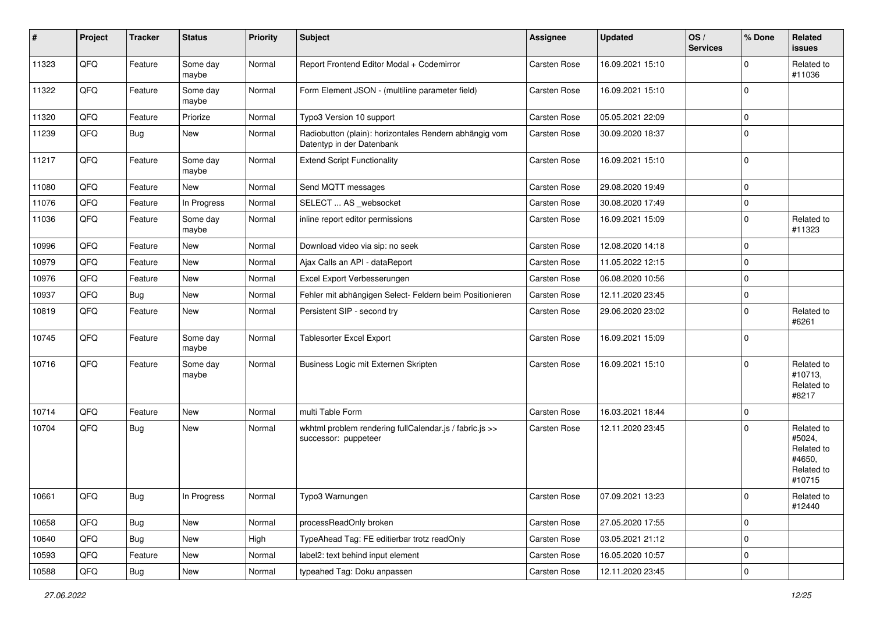| #     | Project | <b>Tracker</b> | <b>Status</b>     | <b>Priority</b> | Subject                                                                             | <b>Assignee</b>     | Updated          | OS/<br><b>Services</b> | % Done      | Related<br>issues                                                    |
|-------|---------|----------------|-------------------|-----------------|-------------------------------------------------------------------------------------|---------------------|------------------|------------------------|-------------|----------------------------------------------------------------------|
| 11323 | QFQ     | Feature        | Some day<br>maybe | Normal          | Report Frontend Editor Modal + Codemirror                                           | Carsten Rose        | 16.09.2021 15:10 |                        | $\Omega$    | Related to<br>#11036                                                 |
| 11322 | QFQ     | Feature        | Some day<br>maybe | Normal          | Form Element JSON - (multiline parameter field)                                     | Carsten Rose        | 16.09.2021 15:10 |                        | 0           |                                                                      |
| 11320 | QFQ     | Feature        | Priorize          | Normal          | Typo3 Version 10 support                                                            | Carsten Rose        | 05.05.2021 22:09 |                        | 0           |                                                                      |
| 11239 | QFQ     | Bug            | New               | Normal          | Radiobutton (plain): horizontales Rendern abhängig vom<br>Datentyp in der Datenbank | Carsten Rose        | 30.09.2020 18:37 |                        | $\Omega$    |                                                                      |
| 11217 | QFQ     | Feature        | Some day<br>maybe | Normal          | <b>Extend Script Functionality</b>                                                  | Carsten Rose        | 16.09.2021 15:10 |                        | $\Omega$    |                                                                      |
| 11080 | QFQ     | Feature        | New               | Normal          | Send MQTT messages                                                                  | Carsten Rose        | 29.08.2020 19:49 |                        | $\mathbf 0$ |                                                                      |
| 11076 | QFG     | Feature        | In Progress       | Normal          | SELECT  AS _websocket                                                               | <b>Carsten Rose</b> | 30.08.2020 17:49 |                        | $\mathbf 0$ |                                                                      |
| 11036 | QFQ     | Feature        | Some day<br>maybe | Normal          | inline report editor permissions                                                    | Carsten Rose        | 16.09.2021 15:09 |                        | $\Omega$    | Related to<br>#11323                                                 |
| 10996 | QFQ     | Feature        | New               | Normal          | Download video via sip: no seek                                                     | Carsten Rose        | 12.08.2020 14:18 |                        | $\mathbf 0$ |                                                                      |
| 10979 | QFQ     | Feature        | <b>New</b>        | Normal          | Ajax Calls an API - dataReport                                                      | <b>Carsten Rose</b> | 11.05.2022 12:15 |                        | $\mathbf 0$ |                                                                      |
| 10976 | QFQ     | Feature        | New               | Normal          | Excel Export Verbesserungen                                                         | Carsten Rose        | 06.08.2020 10:56 |                        | 0           |                                                                      |
| 10937 | QFQ     | Bug            | <b>New</b>        | Normal          | Fehler mit abhängigen Select- Feldern beim Positionieren                            | <b>Carsten Rose</b> | 12.11.2020 23:45 |                        | 0           |                                                                      |
| 10819 | QFQ     | Feature        | New               | Normal          | Persistent SIP - second try                                                         | Carsten Rose        | 29.06.2020 23:02 |                        | $\Omega$    | Related to<br>#6261                                                  |
| 10745 | QFQ     | Feature        | Some day<br>maybe | Normal          | <b>Tablesorter Excel Export</b>                                                     | Carsten Rose        | 16.09.2021 15:09 |                        | $\mathbf 0$ |                                                                      |
| 10716 | QFQ     | Feature        | Some day<br>maybe | Normal          | Business Logic mit Externen Skripten                                                | Carsten Rose        | 16.09.2021 15:10 |                        | $\Omega$    | Related to<br>#10713,<br>Related to<br>#8217                         |
| 10714 | QFQ     | Feature        | <b>New</b>        | Normal          | multi Table Form                                                                    | <b>Carsten Rose</b> | 16.03.2021 18:44 |                        | $\mathbf 0$ |                                                                      |
| 10704 | QFQ     | Bug            | New               | Normal          | wkhtml problem rendering fullCalendar.js / fabric.js >><br>successor: puppeteer     | Carsten Rose        | 12.11.2020 23:45 |                        | $\Omega$    | Related to<br>#5024,<br>Related to<br>#4650,<br>Related to<br>#10715 |
| 10661 | QFQ     | <b>Bug</b>     | In Progress       | Normal          | Typo3 Warnungen                                                                     | Carsten Rose        | 07.09.2021 13:23 |                        | <b>ΙΟ</b>   | Related to<br>#12440                                                 |
| 10658 | QFQ     | Bug            | New               | Normal          | processReadOnly broken                                                              | Carsten Rose        | 27.05.2020 17:55 |                        | 0           |                                                                      |
| 10640 | QFQ     | Bug            | New               | High            | TypeAhead Tag: FE editierbar trotz readOnly                                         | Carsten Rose        | 03.05.2021 21:12 |                        | 0           |                                                                      |
| 10593 | QFQ     | Feature        | New               | Normal          | label2: text behind input element                                                   | Carsten Rose        | 16.05.2020 10:57 |                        | 0           |                                                                      |
| 10588 | QFQ     | Bug            | New               | Normal          | typeahed Tag: Doku anpassen                                                         | Carsten Rose        | 12.11.2020 23:45 |                        | $\pmb{0}$   |                                                                      |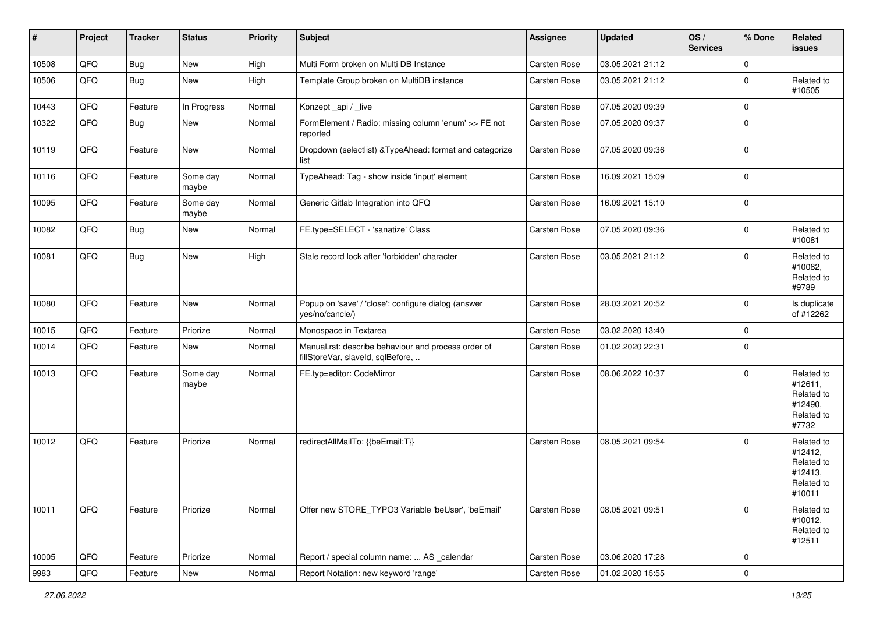| #     | Project | <b>Tracker</b> | <b>Status</b>     | <b>Priority</b> | Subject                                                                                  | Assignee            | <b>Updated</b>   | OS/<br><b>Services</b> | % Done         | Related<br>issues                                                      |
|-------|---------|----------------|-------------------|-----------------|------------------------------------------------------------------------------------------|---------------------|------------------|------------------------|----------------|------------------------------------------------------------------------|
| 10508 | QFQ     | Bug            | New               | High            | Multi Form broken on Multi DB Instance                                                   | Carsten Rose        | 03.05.2021 21:12 |                        | $\Omega$       |                                                                        |
| 10506 | QFQ     | Bug            | New               | High            | Template Group broken on MultiDB instance                                                | <b>Carsten Rose</b> | 03.05.2021 21:12 |                        | 0              | Related to<br>#10505                                                   |
| 10443 | QFQ     | Feature        | In Progress       | Normal          | Konzept_api / _live                                                                      | Carsten Rose        | 07.05.2020 09:39 |                        | $\mathbf 0$    |                                                                        |
| 10322 | QFQ     | <b>Bug</b>     | New               | Normal          | FormElement / Radio: missing column 'enum' >> FE not<br>reported                         | Carsten Rose        | 07.05.2020 09:37 |                        | $\Omega$       |                                                                        |
| 10119 | QFQ     | Feature        | New               | Normal          | Dropdown (selectlist) & TypeAhead: format and catagorize<br>list                         | Carsten Rose        | 07.05.2020 09:36 |                        | $\mathbf 0$    |                                                                        |
| 10116 | QFQ     | Feature        | Some day<br>maybe | Normal          | TypeAhead: Tag - show inside 'input' element                                             | Carsten Rose        | 16.09.2021 15:09 |                        | $\mathbf 0$    |                                                                        |
| 10095 | QFQ     | Feature        | Some day<br>maybe | Normal          | Generic Gitlab Integration into QFQ                                                      | <b>Carsten Rose</b> | 16.09.2021 15:10 |                        | $\Omega$       |                                                                        |
| 10082 | QFQ     | <b>Bug</b>     | New               | Normal          | FE.type=SELECT - 'sanatize' Class                                                        | <b>Carsten Rose</b> | 07.05.2020 09:36 |                        | $\Omega$       | Related to<br>#10081                                                   |
| 10081 | QFQ     | Bug            | New               | High            | Stale record lock after 'forbidden' character                                            | Carsten Rose        | 03.05.2021 21:12 |                        | $\Omega$       | Related to<br>#10082,<br>Related to<br>#9789                           |
| 10080 | QFQ     | Feature        | New               | Normal          | Popup on 'save' / 'close': configure dialog (answer<br>yes/no/cancle/)                   | Carsten Rose        | 28.03.2021 20:52 |                        | $\Omega$       | Is duplicate<br>of #12262                                              |
| 10015 | QFQ     | Feature        | Priorize          | Normal          | Monospace in Textarea                                                                    | <b>Carsten Rose</b> | 03.02.2020 13:40 |                        | $\mathbf 0$    |                                                                        |
| 10014 | QFQ     | Feature        | New               | Normal          | Manual.rst: describe behaviour and process order of<br>fillStoreVar, slaveId, sqlBefore, | Carsten Rose        | 01.02.2020 22:31 |                        | $\Omega$       |                                                                        |
| 10013 | QFQ     | Feature        | Some day<br>maybe | Normal          | FE.typ=editor: CodeMirror                                                                | Carsten Rose        | 08.06.2022 10:37 |                        | $\Omega$       | Related to<br>#12611,<br>Related to<br>#12490,<br>Related to<br>#7732  |
| 10012 | QFQ     | Feature        | Priorize          | Normal          | redirectAllMailTo: {{beEmail:T}}                                                         | Carsten Rose        | 08.05.2021 09:54 |                        | $\Omega$       | Related to<br>#12412,<br>Related to<br>#12413,<br>Related to<br>#10011 |
| 10011 | QFQ     | Feature        | Priorize          | Normal          | Offer new STORE_TYPO3 Variable 'beUser', 'beEmail'                                       | Carsten Rose        | 08.05.2021 09:51 |                        | $\mathbf 0$    | Related to<br>#10012,<br>Related to<br>#12511                          |
| 10005 | QFQ     | Feature        | Priorize          | Normal          | Report / special column name:  AS _calendar                                              | Carsten Rose        | 03.06.2020 17:28 |                        | 0              |                                                                        |
| 9983  | QFG     | Feature        | New               | Normal          | Report Notation: new keyword 'range'                                                     | Carsten Rose        | 01.02.2020 15:55 |                        | $\overline{0}$ |                                                                        |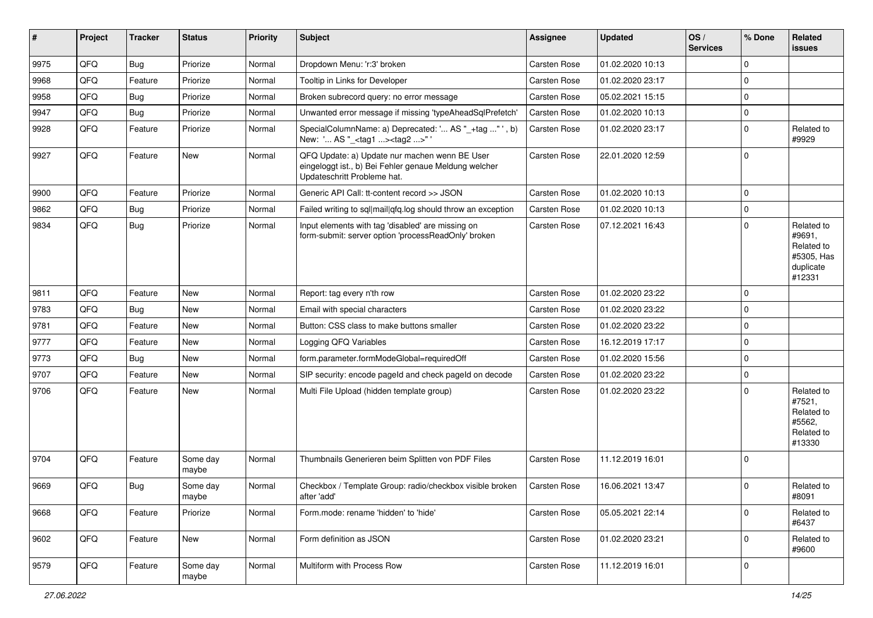| #    | Project | <b>Tracker</b> | <b>Status</b>     | <b>Priority</b> | Subject                                                                                                                               | Assignee            | <b>Updated</b>   | OS/<br><b>Services</b> | % Done      | Related<br>issues                                                       |
|------|---------|----------------|-------------------|-----------------|---------------------------------------------------------------------------------------------------------------------------------------|---------------------|------------------|------------------------|-------------|-------------------------------------------------------------------------|
| 9975 | QFQ     | Bug            | Priorize          | Normal          | Dropdown Menu: 'r:3' broken                                                                                                           | Carsten Rose        | 01.02.2020 10:13 |                        | $\Omega$    |                                                                         |
| 9968 | QFQ     | Feature        | Priorize          | Normal          | Tooltip in Links for Developer                                                                                                        | Carsten Rose        | 01.02.2020 23:17 |                        | $\mathbf 0$ |                                                                         |
| 9958 | QFQ     | Bug            | Priorize          | Normal          | Broken subrecord query: no error message                                                                                              | Carsten Rose        | 05.02.2021 15:15 |                        | $\mathbf 0$ |                                                                         |
| 9947 | QFQ     | <b>Bug</b>     | Priorize          | Normal          | Unwanted error message if missing 'typeAheadSqlPrefetch'                                                                              | Carsten Rose        | 01.02.2020 10:13 |                        | 0           |                                                                         |
| 9928 | QFQ     | Feature        | Priorize          | Normal          | SpecialColumnName: a) Deprecated: ' AS "_+tag " ', b)<br>New: ' AS "_ <tag1><tag2>"</tag2></tag1>                                     | <b>Carsten Rose</b> | 01.02.2020 23:17 |                        | 0           | Related to<br>#9929                                                     |
| 9927 | QFQ     | Feature        | New               | Normal          | QFQ Update: a) Update nur machen wenn BE User<br>eingeloggt ist., b) Bei Fehler genaue Meldung welcher<br>Updateschritt Probleme hat. | Carsten Rose        | 22.01.2020 12:59 |                        | $\mathbf 0$ |                                                                         |
| 9900 | QFQ     | Feature        | Priorize          | Normal          | Generic API Call: tt-content record >> JSON                                                                                           | Carsten Rose        | 01.02.2020 10:13 |                        | $\mathbf 0$ |                                                                         |
| 9862 | QFQ     | Bug            | Priorize          | Normal          | Failed writing to sql mail qfq.log should throw an exception                                                                          | Carsten Rose        | 01.02.2020 10:13 |                        | $\mathbf 0$ |                                                                         |
| 9834 | QFQ     | Bug            | Priorize          | Normal          | Input elements with tag 'disabled' are missing on<br>form-submit: server option 'processReadOnly' broken                              | Carsten Rose        | 07.12.2021 16:43 |                        | $\Omega$    | Related to<br>#9691,<br>Related to<br>#5305, Has<br>duplicate<br>#12331 |
| 9811 | QFQ     | Feature        | <b>New</b>        | Normal          | Report: tag every n'th row                                                                                                            | Carsten Rose        | 01.02.2020 23:22 |                        | 0           |                                                                         |
| 9783 | QFQ     | <b>Bug</b>     | <b>New</b>        | Normal          | Email with special characters                                                                                                         | Carsten Rose        | 01.02.2020 23:22 |                        | 0           |                                                                         |
| 9781 | QFQ     | Feature        | <b>New</b>        | Normal          | Button: CSS class to make buttons smaller                                                                                             | <b>Carsten Rose</b> | 01.02.2020 23:22 |                        | $\mathbf 0$ |                                                                         |
| 9777 | QFQ     | Feature        | New               | Normal          | Logging QFQ Variables                                                                                                                 | Carsten Rose        | 16.12.2019 17:17 |                        | 0           |                                                                         |
| 9773 | QFQ     | Bug            | <b>New</b>        | Normal          | form.parameter.formModeGlobal=requiredOff                                                                                             | Carsten Rose        | 01.02.2020 15:56 |                        | $\mathbf 0$ |                                                                         |
| 9707 | QFQ     | Feature        | <b>New</b>        | Normal          | SIP security: encode pageld and check pageld on decode                                                                                | Carsten Rose        | 01.02.2020 23:22 |                        | $\mathbf 0$ |                                                                         |
| 9706 | QFQ     | Feature        | New               | Normal          | Multi File Upload (hidden template group)                                                                                             | <b>Carsten Rose</b> | 01.02.2020 23:22 |                        | 0           | Related to<br>#7521,<br>Related to<br>#5562,<br>Related to<br>#13330    |
| 9704 | QFQ     | Feature        | Some day<br>maybe | Normal          | Thumbnails Generieren beim Splitten von PDF Files                                                                                     | Carsten Rose        | 11.12.2019 16:01 |                        | $\Omega$    |                                                                         |
| 9669 | QFQ     | <b>Bug</b>     | Some day<br>maybe | Normal          | Checkbox / Template Group: radio/checkbox visible broken<br>after 'add'                                                               | Carsten Rose        | 16.06.2021 13:47 |                        | 0           | Related to<br>#8091                                                     |
| 9668 | QFQ     | Feature        | Priorize          | Normal          | Form.mode: rename 'hidden' to 'hide'                                                                                                  | Carsten Rose        | 05.05.2021 22:14 |                        | $\mathbf 0$ | Related to<br>#6437                                                     |
| 9602 | QFQ     | Feature        | New               | Normal          | Form definition as JSON                                                                                                               | Carsten Rose        | 01.02.2020 23:21 |                        | $\mathbf 0$ | Related to<br>#9600                                                     |
| 9579 | QFQ     | Feature        | Some day<br>maybe | Normal          | Multiform with Process Row                                                                                                            | Carsten Rose        | 11.12.2019 16:01 |                        | $\mathbf 0$ |                                                                         |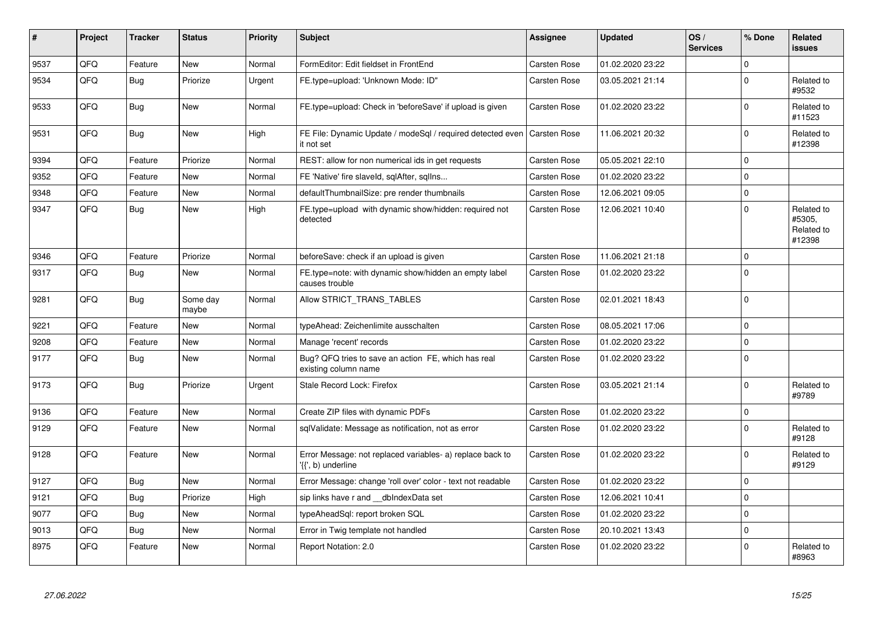| #    | Project | <b>Tracker</b> | <b>Status</b>     | <b>Priority</b> | <b>Subject</b>                                                                  | Assignee            | <b>Updated</b>   | OS/<br><b>Services</b> | % Done      | Related<br><b>issues</b>                     |
|------|---------|----------------|-------------------|-----------------|---------------------------------------------------------------------------------|---------------------|------------------|------------------------|-------------|----------------------------------------------|
| 9537 | QFQ     | Feature        | <b>New</b>        | Normal          | FormEditor: Edit fieldset in FrontEnd                                           | Carsten Rose        | 01.02.2020 23:22 |                        | $\Omega$    |                                              |
| 9534 | QFQ     | <b>Bug</b>     | Priorize          | Urgent          | FE.type=upload: 'Unknown Mode: ID"                                              | Carsten Rose        | 03.05.2021 21:14 |                        | $\Omega$    | Related to<br>#9532                          |
| 9533 | QFQ     | Bug            | <b>New</b>        | Normal          | FE.type=upload: Check in 'beforeSave' if upload is given                        | Carsten Rose        | 01.02.2020 23:22 |                        | $\Omega$    | Related to<br>#11523                         |
| 9531 | QFQ     | Bug            | New               | High            | FE File: Dynamic Update / modeSql / required detected even<br>it not set        | <b>Carsten Rose</b> | 11.06.2021 20:32 |                        | $\Omega$    | Related to<br>#12398                         |
| 9394 | QFQ     | Feature        | Priorize          | Normal          | REST: allow for non numerical ids in get requests                               | Carsten Rose        | 05.05.2021 22:10 |                        | $\Omega$    |                                              |
| 9352 | QFQ     | Feature        | <b>New</b>        | Normal          | FE 'Native' fire slaveld, sqlAfter, sqlIns                                      | Carsten Rose        | 01.02.2020 23:22 |                        | $\Omega$    |                                              |
| 9348 | QFQ     | Feature        | New               | Normal          | defaultThumbnailSize: pre render thumbnails                                     | Carsten Rose        | 12.06.2021 09:05 |                        | $\mathbf 0$ |                                              |
| 9347 | QFQ     | <b>Bug</b>     | <b>New</b>        | High            | FE.type=upload with dynamic show/hidden: required not<br>detected               | Carsten Rose        | 12.06.2021 10:40 |                        | $\Omega$    | Related to<br>#5305,<br>Related to<br>#12398 |
| 9346 | QFQ     | Feature        | Priorize          | Normal          | beforeSave: check if an upload is given                                         | <b>Carsten Rose</b> | 11.06.2021 21:18 |                        | $\Omega$    |                                              |
| 9317 | QFQ     | <b>Bug</b>     | <b>New</b>        | Normal          | FE.type=note: with dynamic show/hidden an empty label<br>causes trouble         | Carsten Rose        | 01.02.2020 23:22 |                        | $\Omega$    |                                              |
| 9281 | QFQ     | Bug            | Some day<br>maybe | Normal          | Allow STRICT_TRANS_TABLES                                                       | <b>Carsten Rose</b> | 02.01.2021 18:43 |                        | $\Omega$    |                                              |
| 9221 | QFQ     | Feature        | <b>New</b>        | Normal          | typeAhead: Zeichenlimite ausschalten                                            | Carsten Rose        | 08.05.2021 17:06 |                        | $\Omega$    |                                              |
| 9208 | QFQ     | Feature        | <b>New</b>        | Normal          | Manage 'recent' records                                                         | <b>Carsten Rose</b> | 01.02.2020 23:22 |                        | $\Omega$    |                                              |
| 9177 | QFQ     | <b>Bug</b>     | <b>New</b>        | Normal          | Bug? QFQ tries to save an action FE, which has real<br>existing column name     | <b>Carsten Rose</b> | 01.02.2020 23:22 |                        | $\Omega$    |                                              |
| 9173 | QFQ     | <b>Bug</b>     | Priorize          | Urgent          | Stale Record Lock: Firefox                                                      | <b>Carsten Rose</b> | 03.05.2021 21:14 |                        | $\Omega$    | Related to<br>#9789                          |
| 9136 | QFQ     | Feature        | <b>New</b>        | Normal          | Create ZIP files with dynamic PDFs                                              | <b>Carsten Rose</b> | 01.02.2020 23:22 |                        | $\Omega$    |                                              |
| 9129 | QFQ     | Feature        | New               | Normal          | sqlValidate: Message as notification, not as error                              | <b>Carsten Rose</b> | 01.02.2020 23:22 |                        | $\Omega$    | Related to<br>#9128                          |
| 9128 | QFQ     | Feature        | <b>New</b>        | Normal          | Error Message: not replaced variables- a) replace back to<br>'{{', b) underline | Carsten Rose        | 01.02.2020 23:22 |                        | $\mathbf 0$ | Related to<br>#9129                          |
| 9127 | QFQ     | Bug            | New               | Normal          | Error Message: change 'roll over' color - text not readable                     | Carsten Rose        | 01.02.2020 23:22 |                        | $\Omega$    |                                              |
| 9121 | QFQ     | Bug            | Priorize          | High            | sip links have r and dbIndexData set                                            | <b>Carsten Rose</b> | 12.06.2021 10:41 |                        | $\Omega$    |                                              |
| 9077 | QFQ     | <b>Bug</b>     | <b>New</b>        | Normal          | typeAheadSql: report broken SQL                                                 | <b>Carsten Rose</b> | 01.02.2020 23:22 |                        | $\Omega$    |                                              |
| 9013 | QFQ     | Bug            | New               | Normal          | Error in Twig template not handled                                              | <b>Carsten Rose</b> | 20.10.2021 13:43 |                        | $\mathbf 0$ |                                              |
| 8975 | QFQ     | Feature        | <b>New</b>        | Normal          | Report Notation: 2.0                                                            | Carsten Rose        | 01.02.2020 23:22 |                        | $\Omega$    | Related to<br>#8963                          |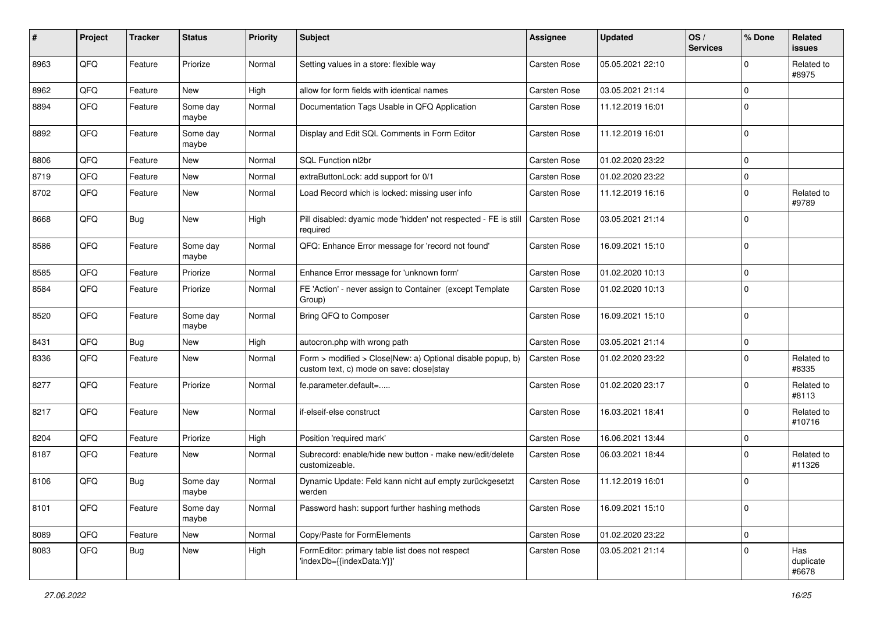| ∦    | Project | <b>Tracker</b> | <b>Status</b>     | <b>Priority</b> | Subject                                                                                                | <b>Assignee</b>     | <b>Updated</b>   | OS/<br><b>Services</b> | % Done      | Related<br>issues         |
|------|---------|----------------|-------------------|-----------------|--------------------------------------------------------------------------------------------------------|---------------------|------------------|------------------------|-------------|---------------------------|
| 8963 | QFQ     | Feature        | Priorize          | Normal          | Setting values in a store: flexible way                                                                | <b>Carsten Rose</b> | 05.05.2021 22:10 |                        | 0           | Related to<br>#8975       |
| 8962 | QFQ     | Feature        | New               | High            | allow for form fields with identical names                                                             | <b>Carsten Rose</b> | 03.05.2021 21:14 |                        | $\Omega$    |                           |
| 8894 | QFQ     | Feature        | Some day<br>maybe | Normal          | Documentation Tags Usable in QFQ Application                                                           | <b>Carsten Rose</b> | 11.12.2019 16:01 |                        | $\Omega$    |                           |
| 8892 | QFQ     | Feature        | Some day<br>maybe | Normal          | Display and Edit SQL Comments in Form Editor                                                           | <b>Carsten Rose</b> | 11.12.2019 16:01 |                        | $\Omega$    |                           |
| 8806 | QFQ     | Feature        | New               | Normal          | SQL Function nl2br                                                                                     | Carsten Rose        | 01.02.2020 23:22 |                        | 0           |                           |
| 8719 | QFQ     | Feature        | <b>New</b>        | Normal          | extraButtonLock: add support for 0/1                                                                   | <b>Carsten Rose</b> | 01.02.2020 23:22 |                        | $\Omega$    |                           |
| 8702 | QFQ     | Feature        | New               | Normal          | Load Record which is locked: missing user info                                                         | <b>Carsten Rose</b> | 11.12.2019 16:16 |                        | $\Omega$    | Related to<br>#9789       |
| 8668 | QFQ     | Bug            | <b>New</b>        | High            | Pill disabled: dyamic mode 'hidden' not respected - FE is still<br>required                            | <b>Carsten Rose</b> | 03.05.2021 21:14 |                        | $\Omega$    |                           |
| 8586 | QFQ     | Feature        | Some day<br>maybe | Normal          | QFQ: Enhance Error message for 'record not found'                                                      | Carsten Rose        | 16.09.2021 15:10 |                        | $\Omega$    |                           |
| 8585 | QFQ     | Feature        | Priorize          | Normal          | Enhance Error message for 'unknown form'                                                               | <b>Carsten Rose</b> | 01.02.2020 10:13 |                        | 0           |                           |
| 8584 | QFQ     | Feature        | Priorize          | Normal          | FE 'Action' - never assign to Container (except Template<br>Group)                                     | <b>Carsten Rose</b> | 01.02.2020 10:13 |                        | $\Omega$    |                           |
| 8520 | QFQ     | Feature        | Some day<br>maybe | Normal          | Bring QFQ to Composer                                                                                  | <b>Carsten Rose</b> | 16.09.2021 15:10 |                        | $\Omega$    |                           |
| 8431 | QFQ     | Bug            | <b>New</b>        | High            | autocron.php with wrong path                                                                           | <b>Carsten Rose</b> | 03.05.2021 21:14 |                        | $\mathbf 0$ |                           |
| 8336 | QFQ     | Feature        | New               | Normal          | Form > modified > Close New: a) Optional disable popup, b)<br>custom text, c) mode on save: close stay | <b>Carsten Rose</b> | 01.02.2020 23:22 |                        | $\Omega$    | Related to<br>#8335       |
| 8277 | QFQ     | Feature        | Priorize          | Normal          | fe.parameter.default=                                                                                  | <b>Carsten Rose</b> | 01.02.2020 23:17 |                        | $\Omega$    | Related to<br>#8113       |
| 8217 | QFQ     | Feature        | <b>New</b>        | Normal          | if-elseif-else construct                                                                               | <b>Carsten Rose</b> | 16.03.2021 18:41 |                        | $\Omega$    | Related to<br>#10716      |
| 8204 | QFQ     | Feature        | Priorize          | High            | Position 'required mark'                                                                               | <b>Carsten Rose</b> | 16.06.2021 13:44 |                        | 0           |                           |
| 8187 | QFQ     | Feature        | New               | Normal          | Subrecord: enable/hide new button - make new/edit/delete<br>customizeable.                             | <b>Carsten Rose</b> | 06.03.2021 18:44 |                        | $\Omega$    | Related to<br>#11326      |
| 8106 | QFQ     | Bug            | Some day<br>maybe | Normal          | Dynamic Update: Feld kann nicht auf empty zurückgesetzt<br>werden                                      | <b>Carsten Rose</b> | 11.12.2019 16:01 |                        | $\mathbf 0$ |                           |
| 8101 | QFQ     | Feature        | Some day<br>maybe | Normal          | Password hash: support further hashing methods                                                         | Carsten Rose        | 16.09.2021 15:10 |                        | $\mathbf 0$ |                           |
| 8089 | QFQ     | Feature        | New               | Normal          | Copy/Paste for FormElements                                                                            | Carsten Rose        | 01.02.2020 23:22 |                        | $\mathbf 0$ |                           |
| 8083 | QFQ     | Bug            | New               | High            | FormEditor: primary table list does not respect<br>'indexDb={{indexData:Y}}'                           | Carsten Rose        | 03.05.2021 21:14 |                        | $\mathbf 0$ | Has<br>duplicate<br>#6678 |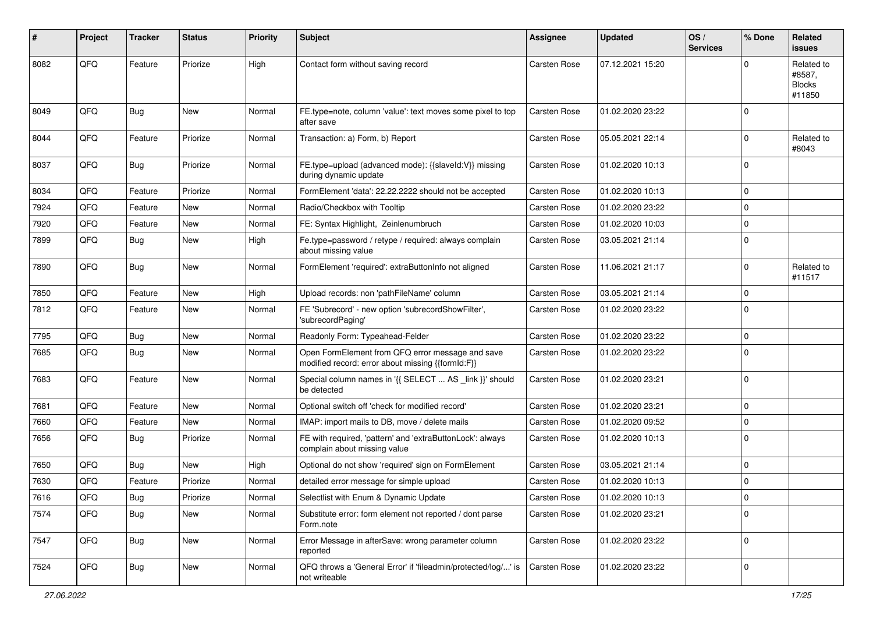| #    | Project | <b>Tracker</b> | <b>Status</b> | <b>Priority</b> | <b>Subject</b>                                                                                        | Assignee            | <b>Updated</b>   | OS/<br><b>Services</b> | % Done      | Related<br><b>issues</b>                        |
|------|---------|----------------|---------------|-----------------|-------------------------------------------------------------------------------------------------------|---------------------|------------------|------------------------|-------------|-------------------------------------------------|
| 8082 | QFQ     | Feature        | Priorize      | High            | Contact form without saving record                                                                    | <b>Carsten Rose</b> | 07.12.2021 15:20 |                        | $\Omega$    | Related to<br>#8587,<br><b>Blocks</b><br>#11850 |
| 8049 | QFQ     | Bug            | <b>New</b>    | Normal          | FE.type=note, column 'value': text moves some pixel to top<br>after save                              | Carsten Rose        | 01.02.2020 23:22 |                        | $\Omega$    |                                                 |
| 8044 | QFQ     | Feature        | Priorize      | Normal          | Transaction: a) Form, b) Report                                                                       | Carsten Rose        | 05.05.2021 22:14 |                        | $\Omega$    | Related to<br>#8043                             |
| 8037 | QFQ     | Bug            | Priorize      | Normal          | FE.type=upload (advanced mode): {{slaveld:V}} missing<br>during dynamic update                        | Carsten Rose        | 01.02.2020 10:13 |                        | $\Omega$    |                                                 |
| 8034 | QFQ     | Feature        | Priorize      | Normal          | FormElement 'data': 22.22.2222 should not be accepted                                                 | Carsten Rose        | 01.02.2020 10:13 |                        | $\Omega$    |                                                 |
| 7924 | QFQ     | Feature        | New           | Normal          | Radio/Checkbox with Tooltip                                                                           | Carsten Rose        | 01.02.2020 23:22 |                        | $\Omega$    |                                                 |
| 7920 | QFQ     | Feature        | New           | Normal          | FE: Syntax Highlight, Zeinlenumbruch                                                                  | Carsten Rose        | 01.02.2020 10:03 |                        | $\Omega$    |                                                 |
| 7899 | QFQ     | Bug            | New           | High            | Fe.type=password / retype / required: always complain<br>about missing value                          | Carsten Rose        | 03.05.2021 21:14 |                        | $\mathbf 0$ |                                                 |
| 7890 | QFQ     | Bug            | <b>New</b>    | Normal          | FormElement 'required': extraButtonInfo not aligned                                                   | Carsten Rose        | 11.06.2021 21:17 |                        | $\Omega$    | Related to<br>#11517                            |
| 7850 | QFQ     | Feature        | <b>New</b>    | High            | Upload records: non 'pathFileName' column                                                             | Carsten Rose        | 03.05.2021 21:14 |                        | $\mathbf 0$ |                                                 |
| 7812 | QFQ     | Feature        | New           | Normal          | FE 'Subrecord' - new option 'subrecordShowFilter',<br>'subrecordPaging'                               | <b>Carsten Rose</b> | 01.02.2020 23:22 |                        | $\Omega$    |                                                 |
| 7795 | QFQ     | Bug            | <b>New</b>    | Normal          | Readonly Form: Typeahead-Felder                                                                       | Carsten Rose        | 01.02.2020 23:22 |                        | $\Omega$    |                                                 |
| 7685 | QFQ     | Bug            | New           | Normal          | Open FormElement from QFQ error message and save<br>modified record: error about missing {{formId:F}} | Carsten Rose        | 01.02.2020 23:22 |                        | $\Omega$    |                                                 |
| 7683 | QFQ     | Feature        | <b>New</b>    | Normal          | Special column names in '{{ SELECT  AS _link }}' should<br>be detected                                | Carsten Rose        | 01.02.2020 23:21 |                        | $\Omega$    |                                                 |
| 7681 | QFQ     | Feature        | <b>New</b>    | Normal          | Optional switch off 'check for modified record'                                                       | Carsten Rose        | 01.02.2020 23:21 |                        | $\Omega$    |                                                 |
| 7660 | QFQ     | Feature        | New           | Normal          | IMAP: import mails to DB, move / delete mails                                                         | Carsten Rose        | 01.02.2020 09:52 |                        | $\Omega$    |                                                 |
| 7656 | QFQ     | Bug            | Priorize      | Normal          | FE with required, 'pattern' and 'extraButtonLock': always<br>complain about missing value             | Carsten Rose        | 01.02.2020 10:13 |                        | $\mathbf 0$ |                                                 |
| 7650 | QFQ     | Bug            | <b>New</b>    | High            | Optional do not show 'required' sign on FormElement                                                   | Carsten Rose        | 03.05.2021 21:14 |                        | $\mathbf 0$ |                                                 |
| 7630 | QFQ     | Feature        | Priorize      | Normal          | detailed error message for simple upload                                                              | Carsten Rose        | 01.02.2020 10:13 |                        | $\Omega$    |                                                 |
| 7616 | QFQ     | Bug            | Priorize      | Normal          | Selectlist with Enum & Dynamic Update                                                                 | Carsten Rose        | 01.02.2020 10:13 |                        | 0           |                                                 |
| 7574 | QFQ     | Bug            | New           | Normal          | Substitute error: form element not reported / dont parse<br>Form.note                                 | Carsten Rose        | 01.02.2020 23:21 |                        | 0           |                                                 |
| 7547 | QFQ     | <b>Bug</b>     | New           | Normal          | Error Message in afterSave: wrong parameter column<br>reported                                        | Carsten Rose        | 01.02.2020 23:22 |                        | $\Omega$    |                                                 |
| 7524 | QFQ     | Bug            | New           | Normal          | QFQ throws a 'General Error' if 'fileadmin/protected/log/' is<br>not writeable                        | Carsten Rose        | 01.02.2020 23:22 |                        | 0           |                                                 |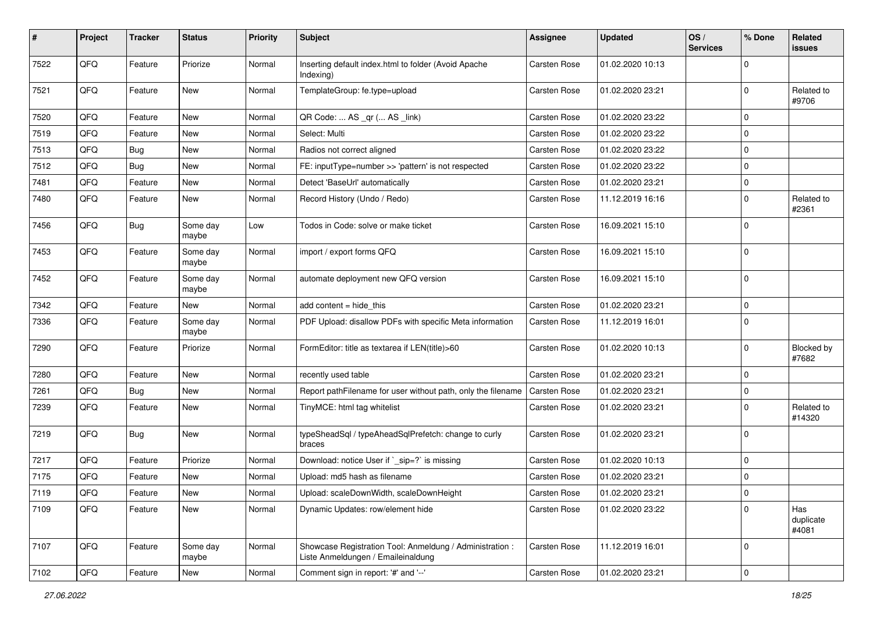| #    | Project | <b>Tracker</b> | <b>Status</b>     | <b>Priority</b> | <b>Subject</b>                                                                                 | <b>Assignee</b>     | <b>Updated</b>   | OS/<br><b>Services</b> | % Done      | Related<br>issues          |
|------|---------|----------------|-------------------|-----------------|------------------------------------------------------------------------------------------------|---------------------|------------------|------------------------|-------------|----------------------------|
| 7522 | QFQ     | Feature        | Priorize          | Normal          | Inserting default index.html to folder (Avoid Apache<br>Indexing)                              | Carsten Rose        | 01.02.2020 10:13 |                        | $\Omega$    |                            |
| 7521 | QFQ     | Feature        | <b>New</b>        | Normal          | TemplateGroup: fe.type=upload                                                                  | Carsten Rose        | 01.02.2020 23:21 |                        | $\mathbf 0$ | Related to<br>#9706        |
| 7520 | QFQ     | Feature        | New               | Normal          | QR Code:  AS _qr ( AS _link)                                                                   | Carsten Rose        | 01.02.2020 23:22 |                        | $\Omega$    |                            |
| 7519 | QFQ     | Feature        | <b>New</b>        | Normal          | Select: Multi                                                                                  | <b>Carsten Rose</b> | 01.02.2020 23:22 |                        | 0           |                            |
| 7513 | QFQ     | Bug            | New               | Normal          | Radios not correct aligned                                                                     | Carsten Rose        | 01.02.2020 23:22 |                        | $\mathbf 0$ |                            |
| 7512 | QFQ     | Bug            | <b>New</b>        | Normal          | FE: inputType=number >> 'pattern' is not respected                                             | Carsten Rose        | 01.02.2020 23:22 |                        | 0           |                            |
| 7481 | QFQ     | Feature        | <b>New</b>        | Normal          | Detect 'BaseUrl' automatically                                                                 | Carsten Rose        | 01.02.2020 23:21 |                        | 0           |                            |
| 7480 | QFQ     | Feature        | New               | Normal          | Record History (Undo / Redo)                                                                   | Carsten Rose        | 11.12.2019 16:16 |                        | 0           | Related to<br>#2361        |
| 7456 | QFQ     | <b>Bug</b>     | Some day<br>maybe | Low             | Todos in Code: solve or make ticket                                                            | <b>Carsten Rose</b> | 16.09.2021 15:10 |                        | $\mathbf 0$ |                            |
| 7453 | QFQ     | Feature        | Some day<br>maybe | Normal          | import / export forms QFQ                                                                      | <b>Carsten Rose</b> | 16.09.2021 15:10 |                        | $\mathbf 0$ |                            |
| 7452 | QFQ     | Feature        | Some day<br>maybe | Normal          | automate deployment new QFQ version                                                            | Carsten Rose        | 16.09.2021 15:10 |                        | $\Omega$    |                            |
| 7342 | QFQ     | Feature        | New               | Normal          | add content $=$ hide this                                                                      | <b>Carsten Rose</b> | 01.02.2020 23:21 |                        | $\mathbf 0$ |                            |
| 7336 | QFQ     | Feature        | Some day<br>maybe | Normal          | PDF Upload: disallow PDFs with specific Meta information                                       | Carsten Rose        | 11.12.2019 16:01 |                        | $\mathbf 0$ |                            |
| 7290 | QFQ     | Feature        | Priorize          | Normal          | FormEditor: title as textarea if LEN(title)>60                                                 | <b>Carsten Rose</b> | 01.02.2020 10:13 |                        | $\Omega$    | <b>Blocked by</b><br>#7682 |
| 7280 | QFQ     | Feature        | <b>New</b>        | Normal          | recently used table                                                                            | <b>Carsten Rose</b> | 01.02.2020 23:21 |                        | 0           |                            |
| 7261 | QFQ     | Bug            | <b>New</b>        | Normal          | Report pathFilename for user without path, only the filename                                   | <b>Carsten Rose</b> | 01.02.2020 23:21 |                        | 0           |                            |
| 7239 | QFQ     | Feature        | <b>New</b>        | Normal          | TinyMCE: html tag whitelist                                                                    | <b>Carsten Rose</b> | 01.02.2020 23:21 |                        | $\Omega$    | Related to<br>#14320       |
| 7219 | QFQ     | Bug            | <b>New</b>        | Normal          | typeSheadSql / typeAheadSqlPrefetch: change to curly<br>braces                                 | <b>Carsten Rose</b> | 01.02.2020 23:21 |                        | $\Omega$    |                            |
| 7217 | QFQ     | Feature        | Priorize          | Normal          | Download: notice User if `_sip=?` is missing                                                   | <b>Carsten Rose</b> | 01.02.2020 10:13 |                        | $\mathbf 0$ |                            |
| 7175 | QFQ     | Feature        | New               | Normal          | Upload: md5 hash as filename                                                                   | Carsten Rose        | 01.02.2020 23:21 |                        | $\Omega$    |                            |
| 7119 | QFG     | Feature        | New               | Normal          | Upload: scaleDownWidth, scaleDownHeight                                                        | Carsten Rose        | 01.02.2020 23:21 |                        | 0           |                            |
| 7109 | QFQ     | Feature        | New               | Normal          | Dynamic Updates: row/element hide                                                              | Carsten Rose        | 01.02.2020 23:22 |                        | $\Omega$    | Has<br>duplicate<br>#4081  |
| 7107 | QFQ     | Feature        | Some day<br>maybe | Normal          | Showcase Registration Tool: Anmeldung / Administration :<br>Liste Anmeldungen / Emaileinaldung | Carsten Rose        | 11.12.2019 16:01 |                        | $\Omega$    |                            |
| 7102 | QFQ     | Feature        | New               | Normal          | Comment sign in report: '#' and '--'                                                           | Carsten Rose        | 01.02.2020 23:21 |                        | 0           |                            |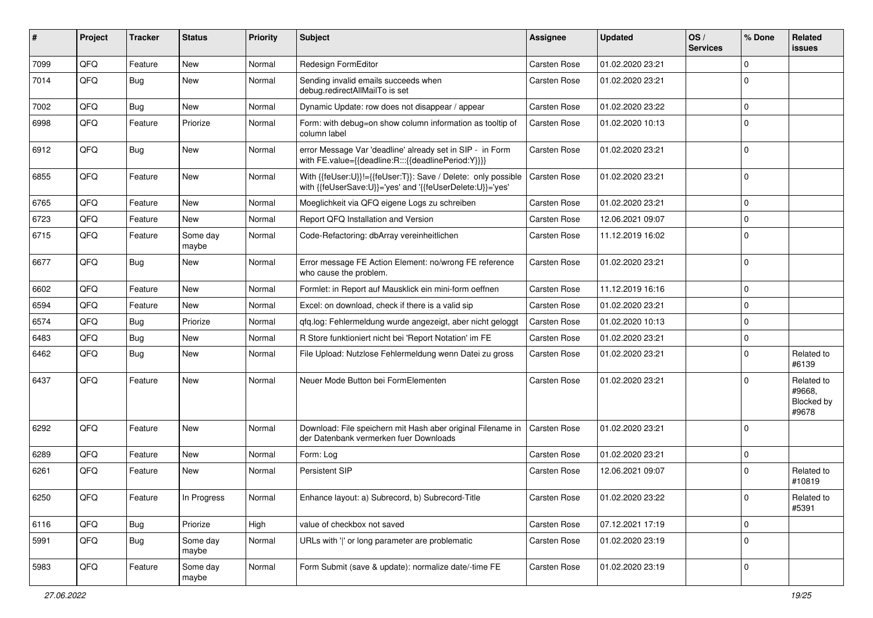| ∦    | Project | <b>Tracker</b> | <b>Status</b>     | <b>Priority</b> | Subject                                                                                                                    | <b>Assignee</b>     | <b>Updated</b>   | OS/<br><b>Services</b> | % Done      | Related<br>issues                           |
|------|---------|----------------|-------------------|-----------------|----------------------------------------------------------------------------------------------------------------------------|---------------------|------------------|------------------------|-------------|---------------------------------------------|
| 7099 | QFQ     | Feature        | <b>New</b>        | Normal          | Redesign FormEditor                                                                                                        | <b>Carsten Rose</b> | 01.02.2020 23:21 |                        | $\Omega$    |                                             |
| 7014 | QFQ     | Bug            | <b>New</b>        | Normal          | Sending invalid emails succeeds when<br>debug.redirectAllMailTo is set                                                     | <b>Carsten Rose</b> | 01.02.2020 23:21 |                        | $\Omega$    |                                             |
| 7002 | QFQ     | Bug            | New               | Normal          | Dynamic Update: row does not disappear / appear                                                                            | <b>Carsten Rose</b> | 01.02.2020 23:22 |                        | 0           |                                             |
| 6998 | QFQ     | Feature        | Priorize          | Normal          | Form: with debug=on show column information as tooltip of<br>column label                                                  | <b>Carsten Rose</b> | 01.02.2020 10:13 |                        | $\Omega$    |                                             |
| 6912 | QFQ     | Bug            | New               | Normal          | error Message Var 'deadline' already set in SIP - in Form<br>with FE.value={{deadline:R:::{{deadlinePeriod:Y}}}}           | <b>Carsten Rose</b> | 01.02.2020 23:21 |                        | $\mathbf 0$ |                                             |
| 6855 | QFQ     | Feature        | <b>New</b>        | Normal          | With {{feUser:U}}!={{feUser:T}}: Save / Delete: only possible<br>with {{feUserSave:U}}='yes' and '{{feUserDelete:U}}='yes' | <b>Carsten Rose</b> | 01.02.2020 23:21 |                        | 0           |                                             |
| 6765 | QFQ     | Feature        | <b>New</b>        | Normal          | Moeglichkeit via QFQ eigene Logs zu schreiben                                                                              | <b>Carsten Rose</b> | 01.02.2020 23:21 |                        | $\mathbf 0$ |                                             |
| 6723 | QFQ     | Feature        | <b>New</b>        | Normal          | Report QFQ Installation and Version                                                                                        | <b>Carsten Rose</b> | 12.06.2021 09:07 |                        | 0           |                                             |
| 6715 | QFQ     | Feature        | Some day<br>maybe | Normal          | Code-Refactoring: dbArray vereinheitlichen                                                                                 | <b>Carsten Rose</b> | 11.12.2019 16:02 |                        | $\Omega$    |                                             |
| 6677 | QFQ     | Bug            | New               | Normal          | Error message FE Action Element: no/wrong FE reference<br>who cause the problem.                                           | <b>Carsten Rose</b> | 01.02.2020 23:21 |                        | $\mathbf 0$ |                                             |
| 6602 | QFQ     | Feature        | <b>New</b>        | Normal          | Formlet: in Report auf Mausklick ein mini-form oeffnen                                                                     | <b>Carsten Rose</b> | 11.12.2019 16:16 |                        | 0           |                                             |
| 6594 | QFQ     | Feature        | New               | Normal          | Excel: on download, check if there is a valid sip                                                                          | <b>Carsten Rose</b> | 01.02.2020 23:21 |                        | $\mathbf 0$ |                                             |
| 6574 | QFQ     | Bug            | Priorize          | Normal          | qfq.log: Fehlermeldung wurde angezeigt, aber nicht geloggt                                                                 | <b>Carsten Rose</b> | 01.02.2020 10:13 |                        | $\Omega$    |                                             |
| 6483 | QFQ     | Bug            | <b>New</b>        | Normal          | R Store funktioniert nicht bei 'Report Notation' im FE                                                                     | Carsten Rose        | 01.02.2020 23:21 |                        | 0           |                                             |
| 6462 | QFQ     | Bug            | <b>New</b>        | Normal          | File Upload: Nutzlose Fehlermeldung wenn Datei zu gross                                                                    | <b>Carsten Rose</b> | 01.02.2020 23:21 |                        | $\Omega$    | Related to<br>#6139                         |
| 6437 | QFQ     | Feature        | <b>New</b>        | Normal          | Neuer Mode Button bei FormElementen                                                                                        | <b>Carsten Rose</b> | 01.02.2020 23:21 |                        | $\Omega$    | Related to<br>#9668,<br>Blocked by<br>#9678 |
| 6292 | QFQ     | Feature        | <b>New</b>        | Normal          | Download: File speichern mit Hash aber original Filename in<br>der Datenbank vermerken fuer Downloads                      | Carsten Rose        | 01.02.2020 23:21 |                        | $\Omega$    |                                             |
| 6289 | QFQ     | Feature        | <b>New</b>        | Normal          | Form: Log                                                                                                                  | <b>Carsten Rose</b> | 01.02.2020 23:21 |                        | $\mathbf 0$ |                                             |
| 6261 | QFQ     | Feature        | New               | Normal          | Persistent SIP                                                                                                             | <b>Carsten Rose</b> | 12.06.2021 09:07 |                        | $\Omega$    | Related to<br>#10819                        |
| 6250 | QFQ     | Feature        | In Progress       | Normal          | Enhance layout: a) Subrecord, b) Subrecord-Title                                                                           | Carsten Rose        | 01.02.2020 23:22 |                        | 0           | Related to<br>#5391                         |
| 6116 | QFQ     | Bug            | Priorize          | High            | value of checkbox not saved                                                                                                | Carsten Rose        | 07.12.2021 17:19 |                        | $\mathbf 0$ |                                             |
| 5991 | QFQ     | <b>Bug</b>     | Some day<br>maybe | Normal          | URLs with ' ' or long parameter are problematic                                                                            | Carsten Rose        | 01.02.2020 23:19 |                        | $\mathbf 0$ |                                             |
| 5983 | QFQ     | Feature        | Some day<br>maybe | Normal          | Form Submit (save & update): normalize date/-time FE                                                                       | Carsten Rose        | 01.02.2020 23:19 |                        | 0           |                                             |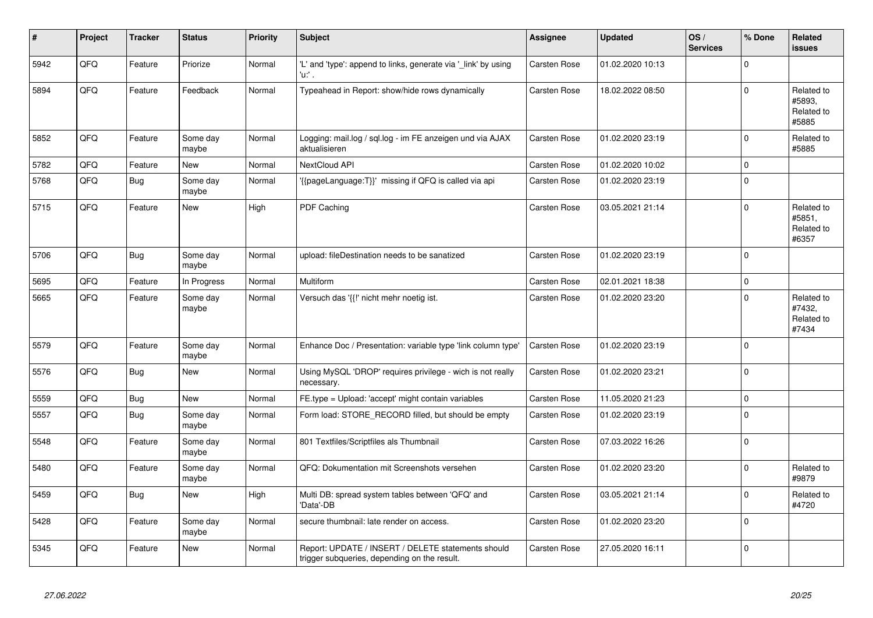| #    | Project | <b>Tracker</b> | <b>Status</b>     | <b>Priority</b> | <b>Subject</b>                                                                                     | Assignee            | <b>Updated</b>   | OS/<br><b>Services</b> | % Done      | Related<br><b>issues</b>                    |
|------|---------|----------------|-------------------|-----------------|----------------------------------------------------------------------------------------------------|---------------------|------------------|------------------------|-------------|---------------------------------------------|
| 5942 | QFQ     | Feature        | Priorize          | Normal          | 'L' and 'type': append to links, generate via '_link' by using<br>'u:' .                           | <b>Carsten Rose</b> | 01.02.2020 10:13 |                        | $\Omega$    |                                             |
| 5894 | QFQ     | Feature        | Feedback          | Normal          | Typeahead in Report: show/hide rows dynamically                                                    | <b>Carsten Rose</b> | 18.02.2022 08:50 |                        | $\Omega$    | Related to<br>#5893,<br>Related to<br>#5885 |
| 5852 | QFQ     | Feature        | Some day<br>maybe | Normal          | Logging: mail.log / sql.log - im FE anzeigen und via AJAX<br>aktualisieren                         | <b>Carsten Rose</b> | 01.02.2020 23:19 |                        | $\Omega$    | Related to<br>#5885                         |
| 5782 | QFQ     | Feature        | <b>New</b>        | Normal          | <b>NextCloud API</b>                                                                               | <b>Carsten Rose</b> | 01.02.2020 10:02 |                        | $\Omega$    |                                             |
| 5768 | QFQ     | Bug            | Some day<br>maybe | Normal          | {{pageLanguage:T}}' missing if QFQ is called via api                                               | <b>Carsten Rose</b> | 01.02.2020 23:19 |                        | $\Omega$    |                                             |
| 5715 | QFQ     | Feature        | <b>New</b>        | High            | <b>PDF Caching</b>                                                                                 | <b>Carsten Rose</b> | 03.05.2021 21:14 |                        | $\Omega$    | Related to<br>#5851,<br>Related to<br>#6357 |
| 5706 | QFQ     | Bug            | Some day<br>maybe | Normal          | upload: fileDestination needs to be sanatized                                                      | <b>Carsten Rose</b> | 01.02.2020 23:19 |                        | $\Omega$    |                                             |
| 5695 | QFQ     | Feature        | In Progress       | Normal          | Multiform                                                                                          | Carsten Rose        | 02.01.2021 18:38 |                        | $\Omega$    |                                             |
| 5665 | QFQ     | Feature        | Some day<br>maybe | Normal          | Versuch das '{{!' nicht mehr noetig ist.                                                           | <b>Carsten Rose</b> | 01.02.2020 23:20 |                        | $\Omega$    | Related to<br>#7432,<br>Related to<br>#7434 |
| 5579 | QFQ     | Feature        | Some day<br>maybe | Normal          | Enhance Doc / Presentation: variable type 'link column type'                                       | <b>Carsten Rose</b> | 01.02.2020 23:19 |                        | $\Omega$    |                                             |
| 5576 | QFQ     | Bug            | <b>New</b>        | Normal          | Using MySQL 'DROP' requires privilege - wich is not really<br>necessary.                           | Carsten Rose        | 01.02.2020 23:21 |                        | $\Omega$    |                                             |
| 5559 | QFQ     | Bug            | New               | Normal          | FE.type = Upload: 'accept' might contain variables                                                 | Carsten Rose        | 11.05.2020 21:23 |                        | $\Omega$    |                                             |
| 5557 | QFQ     | <b>Bug</b>     | Some day<br>maybe | Normal          | Form load: STORE_RECORD filled, but should be empty                                                | <b>Carsten Rose</b> | 01.02.2020 23:19 |                        | $\Omega$    |                                             |
| 5548 | QFQ     | Feature        | Some day<br>maybe | Normal          | 801 Textfiles/Scriptfiles als Thumbnail                                                            | <b>Carsten Rose</b> | 07.03.2022 16:26 |                        | $\Omega$    |                                             |
| 5480 | QFQ     | Feature        | Some day<br>maybe | Normal          | QFQ: Dokumentation mit Screenshots versehen                                                        | Carsten Rose        | 01.02.2020 23:20 |                        | $\Omega$    | Related to<br>#9879                         |
| 5459 | QFQ     | Bug            | <b>New</b>        | High            | Multi DB: spread system tables between 'QFQ' and<br>'Data'-DB                                      | <b>Carsten Rose</b> | 03.05.2021 21:14 |                        | $\Omega$    | Related to<br>#4720                         |
| 5428 | QFG     | Feature        | Some day<br>maybe | Normal          | secure thumbnail: late render on access.                                                           | Carsten Rose        | 01.02.2020 23:20 |                        | $\mathbf 0$ |                                             |
| 5345 | QFQ     | Feature        | New               | Normal          | Report: UPDATE / INSERT / DELETE statements should<br>trigger subqueries, depending on the result. | <b>Carsten Rose</b> | 27.05.2020 16:11 |                        | $\Omega$    |                                             |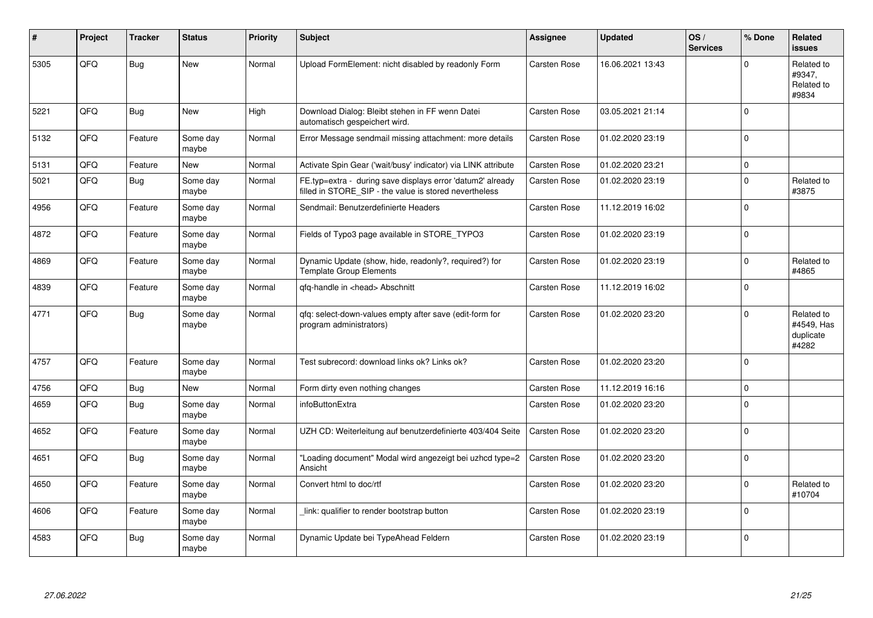| ∦    | Project | <b>Tracker</b> | <b>Status</b>     | <b>Priority</b> | <b>Subject</b>                                                                                                       | Assignee            | <b>Updated</b>   | OS/<br><b>Services</b> | % Done   | Related<br><b>issues</b>                       |
|------|---------|----------------|-------------------|-----------------|----------------------------------------------------------------------------------------------------------------------|---------------------|------------------|------------------------|----------|------------------------------------------------|
| 5305 | QFQ     | <b>Bug</b>     | <b>New</b>        | Normal          | Upload FormElement: nicht disabled by readonly Form                                                                  | <b>Carsten Rose</b> | 16.06.2021 13:43 |                        | $\Omega$ | Related to<br>#9347,<br>Related to<br>#9834    |
| 5221 | QFQ     | Bug            | <b>New</b>        | High            | Download Dialog: Bleibt stehen in FF wenn Datei<br>automatisch gespeichert wird.                                     | <b>Carsten Rose</b> | 03.05.2021 21:14 |                        | $\Omega$ |                                                |
| 5132 | QFQ     | Feature        | Some day<br>maybe | Normal          | Error Message sendmail missing attachment: more details                                                              | Carsten Rose        | 01.02.2020 23:19 |                        | $\Omega$ |                                                |
| 5131 | QFQ     | Feature        | <b>New</b>        | Normal          | Activate Spin Gear ('wait/busy' indicator) via LINK attribute                                                        | Carsten Rose        | 01.02.2020 23:21 |                        | $\Omega$ |                                                |
| 5021 | QFQ     | <b>Bug</b>     | Some day<br>maybe | Normal          | FE.typ=extra - during save displays error 'datum2' already<br>filled in STORE_SIP - the value is stored nevertheless | Carsten Rose        | 01.02.2020 23:19 |                        | $\Omega$ | Related to<br>#3875                            |
| 4956 | QFQ     | Feature        | Some day<br>maybe | Normal          | Sendmail: Benutzerdefinierte Headers                                                                                 | <b>Carsten Rose</b> | 11.12.2019 16:02 |                        | $\Omega$ |                                                |
| 4872 | QFQ     | Feature        | Some day<br>maybe | Normal          | Fields of Typo3 page available in STORE TYPO3                                                                        | <b>Carsten Rose</b> | 01.02.2020 23:19 |                        | $\Omega$ |                                                |
| 4869 | QFQ     | Feature        | Some day<br>maybe | Normal          | Dynamic Update (show, hide, readonly?, required?) for<br><b>Template Group Elements</b>                              | <b>Carsten Rose</b> | 01.02.2020 23:19 |                        | $\Omega$ | Related to<br>#4865                            |
| 4839 | QFQ     | Feature        | Some day<br>maybe | Normal          | gfg-handle in <head> Abschnitt</head>                                                                                | <b>Carsten Rose</b> | 11.12.2019 16:02 |                        | $\Omega$ |                                                |
| 4771 | QFQ     | Bug            | Some day<br>maybe | Normal          | gfg: select-down-values empty after save (edit-form for<br>program administrators)                                   | <b>Carsten Rose</b> | 01.02.2020 23:20 |                        | $\Omega$ | Related to<br>#4549, Has<br>duplicate<br>#4282 |
| 4757 | QFQ     | Feature        | Some day<br>maybe | Normal          | Test subrecord: download links ok? Links ok?                                                                         | Carsten Rose        | 01.02.2020 23:20 |                        | $\Omega$ |                                                |
| 4756 | QFQ     | Bug            | <b>New</b>        | Normal          | Form dirty even nothing changes                                                                                      | Carsten Rose        | 11.12.2019 16:16 |                        | $\Omega$ |                                                |
| 4659 | QFQ     | Bug            | Some day<br>maybe | Normal          | infoButtonExtra                                                                                                      | Carsten Rose        | 01.02.2020 23:20 |                        | $\Omega$ |                                                |
| 4652 | QFQ     | Feature        | Some day<br>maybe | Normal          | UZH CD: Weiterleitung auf benutzerdefinierte 403/404 Seite                                                           | <b>Carsten Rose</b> | 01.02.2020 23:20 |                        | $\Omega$ |                                                |
| 4651 | QFQ     | Bug            | Some day<br>maybe | Normal          | 'Loading document" Modal wird angezeigt bei uzhcd type=2<br>Ansicht                                                  | Carsten Rose        | 01.02.2020 23:20 |                        | $\Omega$ |                                                |
| 4650 | QFQ     | Feature        | Some day<br>maybe | Normal          | Convert html to doc/rtf                                                                                              | Carsten Rose        | 01.02.2020 23:20 |                        | $\Omega$ | Related to<br>#10704                           |
| 4606 | QFQ     | Feature        | Some day<br>maybe | Normal          | link: qualifier to render bootstrap button                                                                           | Carsten Rose        | 01.02.2020 23:19 |                        | $\Omega$ |                                                |
| 4583 | QFQ     | Bug            | Some day<br>maybe | Normal          | Dynamic Update bei TypeAhead Feldern                                                                                 | <b>Carsten Rose</b> | 01.02.2020 23:19 |                        | $\Omega$ |                                                |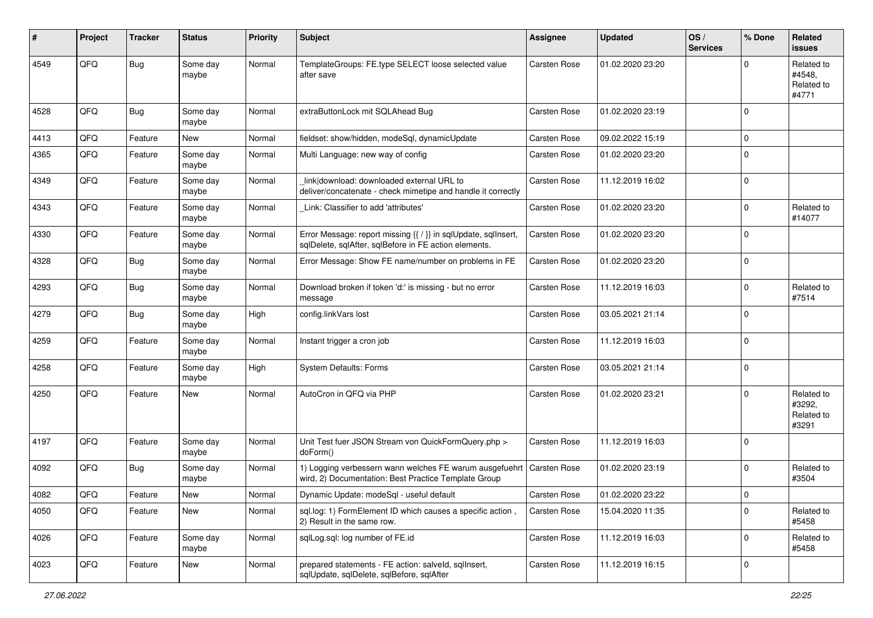| #    | Project | <b>Tracker</b> | <b>Status</b>     | <b>Priority</b> | Subject                                                                                                                        | Assignee            | <b>Updated</b>   | OS/<br><b>Services</b> | % Done         | Related<br><b>issues</b>                    |
|------|---------|----------------|-------------------|-----------------|--------------------------------------------------------------------------------------------------------------------------------|---------------------|------------------|------------------------|----------------|---------------------------------------------|
| 4549 | QFQ     | Bug            | Some day<br>maybe | Normal          | TemplateGroups: FE.type SELECT loose selected value<br>after save                                                              | Carsten Rose        | 01.02.2020 23:20 |                        |                | Related to<br>#4548,<br>Related to<br>#4771 |
| 4528 | QFQ     | <b>Bug</b>     | Some day<br>maybe | Normal          | extraButtonLock mit SQLAhead Bug                                                                                               | Carsten Rose        | 01.02.2020 23:19 |                        | $\Omega$       |                                             |
| 4413 | QFQ     | Feature        | <b>New</b>        | Normal          | fieldset: show/hidden, modeSql, dynamicUpdate                                                                                  | <b>Carsten Rose</b> | 09.02.2022 15:19 |                        | $\Omega$       |                                             |
| 4365 | QFQ     | Feature        | Some day<br>maybe | Normal          | Multi Language: new way of config                                                                                              | Carsten Rose        | 01.02.2020 23:20 |                        | $\Omega$       |                                             |
| 4349 | QFQ     | Feature        | Some day<br>maybe | Normal          | link download: downloaded external URL to<br>deliver/concatenate - check mimetipe and handle it correctly                      | Carsten Rose        | 11.12.2019 16:02 |                        | $\mathbf 0$    |                                             |
| 4343 | QFQ     | Feature        | Some day<br>maybe | Normal          | Link: Classifier to add 'attributes'                                                                                           | Carsten Rose        | 01.02.2020 23:20 |                        | $\Omega$       | Related to<br>#14077                        |
| 4330 | QFQ     | Feature        | Some day<br>maybe | Normal          | Error Message: report missing {{ / }} in sqlUpdate, sqlInsert,<br>sqlDelete, sqlAfter, sqlBefore in FE action elements.        | Carsten Rose        | 01.02.2020 23:20 |                        | $\Omega$       |                                             |
| 4328 | QFQ     | Bug            | Some day<br>maybe | Normal          | Error Message: Show FE name/number on problems in FE                                                                           | Carsten Rose        | 01.02.2020 23:20 |                        | $\Omega$       |                                             |
| 4293 | QFQ     | Bug            | Some day<br>maybe | Normal          | Download broken if token 'd:' is missing - but no error<br>message                                                             | Carsten Rose        | 11.12.2019 16:03 |                        | $\Omega$       | Related to<br>#7514                         |
| 4279 | QFQ     | Bug            | Some day<br>maybe | High            | config.linkVars lost                                                                                                           | Carsten Rose        | 03.05.2021 21:14 |                        | $\Omega$       |                                             |
| 4259 | QFQ     | Feature        | Some day<br>maybe | Normal          | Instant trigger a cron job                                                                                                     | Carsten Rose        | 11.12.2019 16:03 |                        | $\Omega$       |                                             |
| 4258 | QFQ     | Feature        | Some day<br>maybe | High            | <b>System Defaults: Forms</b>                                                                                                  | Carsten Rose        | 03.05.2021 21:14 |                        | $\Omega$       |                                             |
| 4250 | QFQ     | Feature        | <b>New</b>        | Normal          | AutoCron in QFQ via PHP                                                                                                        | Carsten Rose        | 01.02.2020 23:21 |                        | $\overline{0}$ | Related to<br>#3292,<br>Related to<br>#3291 |
| 4197 | QFQ     | Feature        | Some day<br>maybe | Normal          | Unit Test fuer JSON Stream von QuickFormQuery.php ><br>doForm()                                                                | Carsten Rose        | 11.12.2019 16:03 |                        | $\Omega$       |                                             |
| 4092 | QFQ     | Bug            | Some day<br>maybe | Normal          | 1) Logging verbessern wann welches FE warum ausgefuehrt   Carsten Rose<br>wird, 2) Documentation: Best Practice Template Group |                     | 01.02.2020 23:19 |                        | $\Omega$       | Related to<br>#3504                         |
| 4082 | QFQ     | Feature        | New               | Normal          | Dynamic Update: modeSql - useful default                                                                                       | Carsten Rose        | 01.02.2020 23:22 |                        | U              |                                             |
| 4050 | QFQ     | Feature        | New               | Normal          | sql.log: 1) FormElement ID which causes a specific action,<br>2) Result in the same row.                                       | <b>Carsten Rose</b> | 15.04.2020 11:35 |                        | $\mathbf 0$    | Related to<br>#5458                         |
| 4026 | QFQ     | Feature        | Some day<br>maybe | Normal          | sqlLog.sql: log number of FE.id                                                                                                | <b>Carsten Rose</b> | 11.12.2019 16:03 |                        | 0              | Related to<br>#5458                         |
| 4023 | QFQ     | Feature        | New               | Normal          | prepared statements - FE action: salveld, sqlInsert,<br>sqlUpdate, sqlDelete, sqlBefore, sqlAfter                              | Carsten Rose        | 11.12.2019 16:15 |                        | 0              |                                             |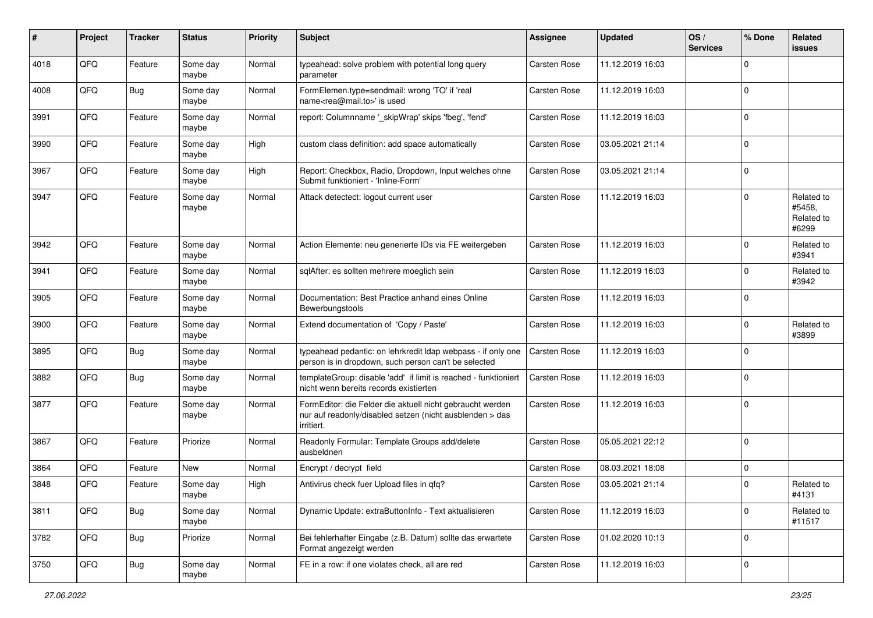| #    | Project | <b>Tracker</b> | <b>Status</b>     | <b>Priority</b> | Subject                                                                                                                             | <b>Assignee</b>     | <b>Updated</b>   | OS/<br><b>Services</b> | % Done      | Related<br><b>issues</b>                    |
|------|---------|----------------|-------------------|-----------------|-------------------------------------------------------------------------------------------------------------------------------------|---------------------|------------------|------------------------|-------------|---------------------------------------------|
| 4018 | QFQ     | Feature        | Some day<br>maybe | Normal          | typeahead: solve problem with potential long query<br>parameter                                                                     | Carsten Rose        | 11.12.2019 16:03 |                        | $\Omega$    |                                             |
| 4008 | QFQ     | Bug            | Some day<br>maybe | Normal          | FormElemen.type=sendmail: wrong 'TO' if 'real<br>name <rea@mail.to>' is used</rea@mail.to>                                          | Carsten Rose        | 11.12.2019 16:03 |                        | $\Omega$    |                                             |
| 3991 | QFQ     | Feature        | Some day<br>maybe | Normal          | report: Columnname '_skipWrap' skips 'fbeg', 'fend'                                                                                 | Carsten Rose        | 11.12.2019 16:03 |                        | $\Omega$    |                                             |
| 3990 | QFQ     | Feature        | Some day<br>maybe | High            | custom class definition: add space automatically                                                                                    | <b>Carsten Rose</b> | 03.05.2021 21:14 |                        | $\Omega$    |                                             |
| 3967 | QFQ     | Feature        | Some day<br>maybe | High            | Report: Checkbox, Radio, Dropdown, Input welches ohne<br>Submit funktioniert - 'Inline-Form'                                        | <b>Carsten Rose</b> | 03.05.2021 21:14 |                        | $\Omega$    |                                             |
| 3947 | QFQ     | Feature        | Some day<br>maybe | Normal          | Attack detectect: logout current user                                                                                               | <b>Carsten Rose</b> | 11.12.2019 16:03 |                        | $\Omega$    | Related to<br>#5458,<br>Related to<br>#6299 |
| 3942 | QFQ     | Feature        | Some day<br>maybe | Normal          | Action Elemente: neu generierte IDs via FE weitergeben                                                                              | <b>Carsten Rose</b> | 11.12.2019 16:03 |                        | $\Omega$    | Related to<br>#3941                         |
| 3941 | QFQ     | Feature        | Some day<br>maybe | Normal          | sqlAfter: es sollten mehrere moeglich sein                                                                                          | <b>Carsten Rose</b> | 11.12.2019 16:03 |                        | $\Omega$    | Related to<br>#3942                         |
| 3905 | QFQ     | Feature        | Some day<br>maybe | Normal          | Documentation: Best Practice anhand eines Online<br>Bewerbungstools                                                                 | Carsten Rose        | 11.12.2019 16:03 |                        | $\Omega$    |                                             |
| 3900 | QFQ     | Feature        | Some day<br>maybe | Normal          | Extend documentation of 'Copy / Paste'                                                                                              | <b>Carsten Rose</b> | 11.12.2019 16:03 |                        | $\Omega$    | Related to<br>#3899                         |
| 3895 | QFQ     | Bug            | Some day<br>maybe | Normal          | typeahead pedantic: on lehrkredit Idap webpass - if only one<br>person is in dropdown, such person can't be selected                | <b>Carsten Rose</b> | 11.12.2019 16:03 |                        | $\Omega$    |                                             |
| 3882 | QFQ     | Bug            | Some day<br>maybe | Normal          | templateGroup: disable 'add' if limit is reached - funktioniert<br>nicht wenn bereits records existierten                           | <b>Carsten Rose</b> | 11.12.2019 16:03 |                        | $\Omega$    |                                             |
| 3877 | QFQ     | Feature        | Some day<br>maybe | Normal          | FormEditor: die Felder die aktuell nicht gebraucht werden<br>nur auf readonly/disabled setzen (nicht ausblenden > das<br>irritiert. | Carsten Rose        | 11.12.2019 16:03 |                        | $\Omega$    |                                             |
| 3867 | QFQ     | Feature        | Priorize          | Normal          | Readonly Formular: Template Groups add/delete<br>ausbeldnen                                                                         | Carsten Rose        | 05.05.2021 22:12 |                        | $\Omega$    |                                             |
| 3864 | QFQ     | Feature        | New               | Normal          | Encrypt / decrypt field                                                                                                             | <b>Carsten Rose</b> | 08.03.2021 18:08 |                        | $\mathbf 0$ |                                             |
| 3848 | QFQ     | Feature        | Some day<br>maybe | High            | Antivirus check fuer Upload files in qfq?                                                                                           | Carsten Rose        | 03.05.2021 21:14 |                        | $\Omega$    | Related to<br>#4131                         |
| 3811 | QFG     | <b>Bug</b>     | Some day<br>maybe | Normal          | Dynamic Update: extraButtonInfo - Text aktualisieren                                                                                | <b>Carsten Rose</b> | 11.12.2019 16:03 |                        | $\Omega$    | Related to<br>#11517                        |
| 3782 | QFG     | <b>Bug</b>     | Priorize          | Normal          | Bei fehlerhafter Eingabe (z.B. Datum) sollte das erwartete<br>Format angezeigt werden                                               | <b>Carsten Rose</b> | 01.02.2020 10:13 |                        | $\mathbf 0$ |                                             |
| 3750 | QFQ     | Bug            | Some day<br>maybe | Normal          | FE in a row: if one violates check, all are red                                                                                     | Carsten Rose        | 11.12.2019 16:03 |                        | $\mathbf 0$ |                                             |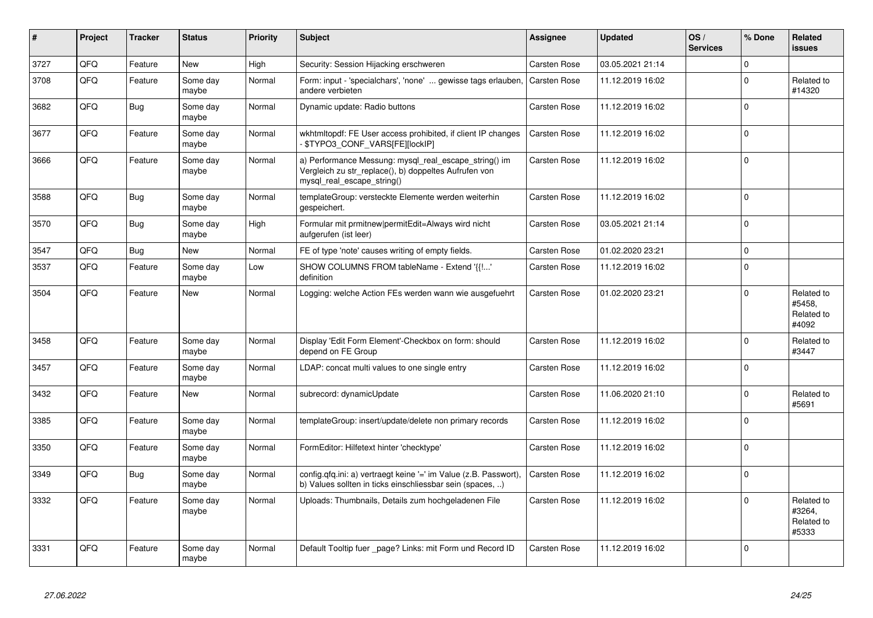| #    | Project | <b>Tracker</b> | <b>Status</b>     | <b>Priority</b> | <b>Subject</b>                                                                                                                               | Assignee            | <b>Updated</b>   | OS/<br><b>Services</b> | % Done      | Related<br><b>issues</b>                    |
|------|---------|----------------|-------------------|-----------------|----------------------------------------------------------------------------------------------------------------------------------------------|---------------------|------------------|------------------------|-------------|---------------------------------------------|
| 3727 | QFQ     | Feature        | <b>New</b>        | High            | Security: Session Hijacking erschweren                                                                                                       | Carsten Rose        | 03.05.2021 21:14 |                        | $\mathbf 0$ |                                             |
| 3708 | QFQ     | Feature        | Some day<br>maybe | Normal          | Form: input - 'specialchars', 'none'  gewisse tags erlauben,<br>andere verbieten                                                             | <b>Carsten Rose</b> | 11.12.2019 16:02 |                        | $\Omega$    | Related to<br>#14320                        |
| 3682 | QFQ     | <b>Bug</b>     | Some day<br>maybe | Normal          | Dynamic update: Radio buttons                                                                                                                | <b>Carsten Rose</b> | 11.12.2019 16:02 |                        | $\Omega$    |                                             |
| 3677 | QFQ     | Feature        | Some day<br>maybe | Normal          | wkhtmltopdf: FE User access prohibited, if client IP changes<br>\$TYPO3 CONF VARS[FE][lockIP]                                                | <b>Carsten Rose</b> | 11.12.2019 16:02 |                        | $\Omega$    |                                             |
| 3666 | QFQ     | Feature        | Some day<br>maybe | Normal          | a) Performance Messung: mysql_real_escape_string() im<br>Vergleich zu str replace(), b) doppeltes Aufrufen von<br>mysql_real_escape_string() | <b>Carsten Rose</b> | 11.12.2019 16:02 |                        | $\Omega$    |                                             |
| 3588 | QFQ     | Bug            | Some day<br>maybe | Normal          | templateGroup: versteckte Elemente werden weiterhin<br>gespeichert.                                                                          | <b>Carsten Rose</b> | 11.12.2019 16:02 |                        | $\Omega$    |                                             |
| 3570 | QFQ     | <b>Bug</b>     | Some day<br>maybe | High            | Formular mit prmitnew permitEdit=Always wird nicht<br>aufgerufen (ist leer)                                                                  | <b>Carsten Rose</b> | 03.05.2021 21:14 |                        | $\Omega$    |                                             |
| 3547 | QFQ     | <b>Bug</b>     | <b>New</b>        | Normal          | FE of type 'note' causes writing of empty fields.                                                                                            | <b>Carsten Rose</b> | 01.02.2020 23:21 |                        | $\Omega$    |                                             |
| 3537 | QFQ     | Feature        | Some day<br>maybe | Low             | SHOW COLUMNS FROM tableName - Extend '{{!'<br>definition                                                                                     | Carsten Rose        | 11.12.2019 16:02 |                        | $\Omega$    |                                             |
| 3504 | QFQ     | Feature        | <b>New</b>        | Normal          | Logging: welche Action FEs werden wann wie ausgefuehrt                                                                                       | Carsten Rose        | 01.02.2020 23:21 |                        | $\Omega$    | Related to<br>#5458.<br>Related to<br>#4092 |
| 3458 | QFQ     | Feature        | Some day<br>maybe | Normal          | Display 'Edit Form Element'-Checkbox on form: should<br>depend on FE Group                                                                   | <b>Carsten Rose</b> | 11.12.2019 16:02 |                        | $\Omega$    | Related to<br>#3447                         |
| 3457 | QFQ     | Feature        | Some day<br>maybe | Normal          | LDAP: concat multi values to one single entry                                                                                                | Carsten Rose        | 11.12.2019 16:02 |                        | $\Omega$    |                                             |
| 3432 | QFQ     | Feature        | <b>New</b>        | Normal          | subrecord: dynamicUpdate                                                                                                                     | <b>Carsten Rose</b> | 11.06.2020 21:10 |                        | $\Omega$    | Related to<br>#5691                         |
| 3385 | QFQ     | Feature        | Some day<br>maybe | Normal          | templateGroup: insert/update/delete non primary records                                                                                      | <b>Carsten Rose</b> | 11.12.2019 16:02 |                        | $\Omega$    |                                             |
| 3350 | QFQ     | Feature        | Some day<br>maybe | Normal          | FormEditor: Hilfetext hinter 'checktype'                                                                                                     | <b>Carsten Rose</b> | 11.12.2019 16:02 |                        | $\Omega$    |                                             |
| 3349 | QFQ     | Bug            | Some day<br>maybe | Normal          | config.qfq.ini: a) vertraegt keine '=' im Value (z.B. Passwort),<br>b) Values sollten in ticks einschliessbar sein (spaces, )                | <b>Carsten Rose</b> | 11.12.2019 16:02 |                        | $\Omega$    |                                             |
| 3332 | QFQ     | Feature        | Some day<br>maybe | Normal          | Uploads: Thumbnails, Details zum hochgeladenen File                                                                                          | <b>Carsten Rose</b> | 11.12.2019 16:02 |                        | $\Omega$    | Related to<br>#3264,<br>Related to<br>#5333 |
| 3331 | QFQ     | Feature        | Some day<br>maybe | Normal          | Default Tooltip fuer page? Links: mit Form und Record ID                                                                                     | <b>Carsten Rose</b> | 11.12.2019 16:02 |                        | $\Omega$    |                                             |